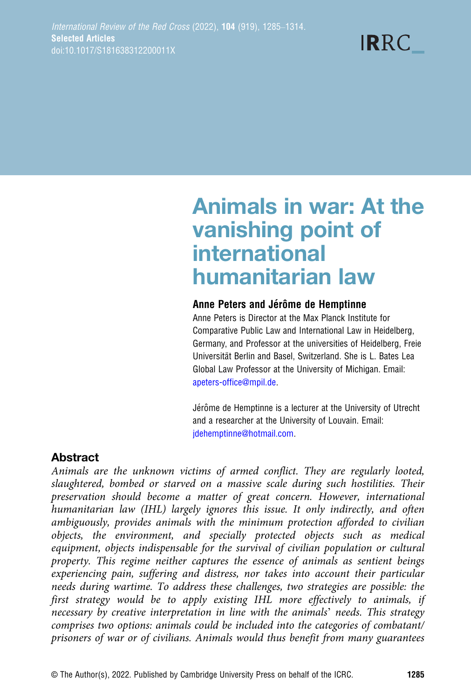**IRRC** 

# Animals in war: At the vanishing point of international humanitarian law

#### Anne Peters and Jérôme de Hemptinne

Anne Peters is Director at the Max Planck Institute for Comparative Public Law and International Law in Heidelberg, Germany, and Professor at the universities of Heidelberg, Freie Universität Berlin and Basel, Switzerland. She is L. Bates Lea Global Law Professor at the University of Michigan. Email: [apeters-office@mpil.de.](mailto:apeters-office@mpil.de)

Jérôme de Hemptinne is a lecturer at the University of Utrecht and a researcher at the University of Louvain. Email: [jdehemptinne@hotmail.com.](mailto:jdehemptinne@hotmail.com)

## Abstract

Animals are the unknown victims of armed conflict. They are regularly looted, slaughtered, bombed or starved on a massive scale during such hostilities. Their preservation should become a matter of great concern. However, international humanitarian law (IHL) largely ignores this issue. It only indirectly, and often ambiguously, provides animals with the minimum protection afforded to civilian objects, the environment, and specially protected objects such as medical equipment, objects indispensable for the survival of civilian population or cultural property. This regime neither captures the essence of animals as sentient beings experiencing pain, suffering and distress, nor takes into account their particular needs during wartime. To address these challenges, two strategies are possible: the first strategy would be to apply existing IHL more effectively to animals, if necessary by creative interpretation in line with the animals' needs. This strategy comprises two options: animals could be included into the categories of combatant/ prisoners of war or of civilians. Animals would thus benefit from many guarantees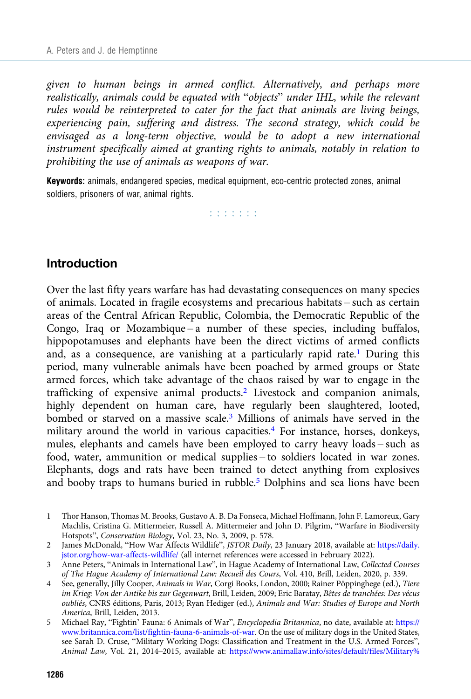given to human beings in armed conflict. Alternatively, and perhaps more realistically, animals could be equated with "objects" under IHL, while the relevant rules would be reinterpreted to cater for the fact that animals are living beings, experiencing pain, suffering and distress. The second strategy, which could be envisaged as a long-term objective, would be to adopt a new international instrument specifically aimed at granting rights to animals, notably in relation to prohibiting the use of animals as weapons of war.

Keywords: animals, endangered species, medical equipment, eco-centric protected zones, animal soldiers, prisoners of war, animal rights.

a a a a a a a

#### Introduction

Over the last fifty years warfare has had devastating consequences on many species of animals. Located in fragile ecosystems and precarious habitats – such as certain areas of the Central African Republic, Colombia, the Democratic Republic of the Congo, Iraq or Mozambique – a number of these species, including buffalos, hippopotamuses and elephants have been the direct victims of armed conflicts and, as a consequence, are vanishing at a particularly rapid rate.<sup>1</sup> During this period, many vulnerable animals have been poached by armed groups or State armed forces, which take advantage of the chaos raised by war to engage in the trafficking of expensive animal products.<sup>2</sup> Livestock and companion animals, highly dependent on human care, have regularly been slaughtered, looted, bombed or starved on a massive scale.<sup>3</sup> Millions of animals have served in the military around the world in various capacities. $4$  For instance, horses, donkeys, mules, elephants and camels have been employed to carry heavy loads – such as food, water, ammunition or medical supplies – to soldiers located in war zones. Elephants, dogs and rats have been trained to detect anything from explosives and booby traps to humans buried in rubble.<sup>5</sup> Dolphins and sea lions have been

<sup>1</sup> Thor Hanson, Thomas M. Brooks, Gustavo A. B. Da Fonseca, Michael Hoffmann, John F. Lamoreux, Gary Machlis, Cristina G. Mittermeier, Russell A. Mittermeier and John D. Pilgrim, "Warfare in Biodiversity Hotspots", Conservation Biology, Vol. 23, No. 3, 2009, p. 578.

<sup>2</sup> James McDonald, "How War Affects Wildlife", JSTOR Daily, 23 January 2018, available at: [https://daily.](https://daily.jstor.org/how-war-affects-wildlife/) [jstor.org/how-war-affects-wildlife/](https://daily.jstor.org/how-war-affects-wildlife/) (all internet references were accessed in February 2022).

<sup>3</sup> Anne Peters, "Animals in International Law", in Hague Academy of International Law, Collected Courses of The Hague Academy of International Law: Recueil des Cours, Vol. 410, Brill, Leiden, 2020, p. 339.

<sup>4</sup> See, generally, Jilly Cooper, Animals in War, Corgi Books, London, 2000; Rainer Pöppinghege (ed.), Tiere im Krieg: Von der Antike bis zur Gegenwart, Brill, Leiden, 2009; Eric Baratay, Bêtes de tranchées: Des vécus oubliés, CNRS éditions, Paris, 2013; Ryan Hediger (ed.), Animals and War: Studies of Europe and North America, Brill, Leiden, 2013.

<sup>5</sup> Michael Ray, "Fightin' Fauna: 6 Animals of War", Encyclopedia Britannica, no date, available at: [https://](https://www.britannica.com/list/fightin-fauna-6-animals-of-war) [www.britannica.com/list/fightin-fauna-6-animals-of-war.](https://www.britannica.com/list/fightin-fauna-6-animals-of-war) On the use of military dogs in the United States, see Sarah D. Cruse, "Military Working Dogs: Classification and Treatment in the U.S. Armed Forces", Animal Law, Vol. 21, 2014–2015, available at: [https://www.animallaw.info/sites/default/files/Military%](https://www.animallaw.info/sites/default/files/Military%20Working%20Dogs.pdf)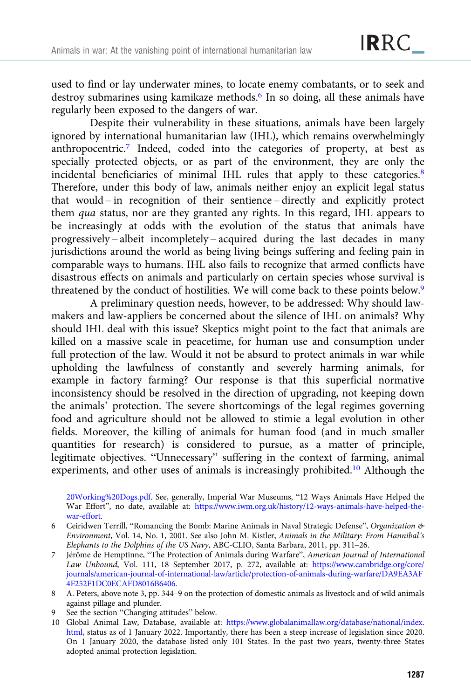used to find or lay underwater mines, to locate enemy combatants, or to seek and destroy submarines using kamikaze methods.<sup>6</sup> In so doing, all these animals have regularly been exposed to the dangers of war.

Despite their vulnerability in these situations, animals have been largely ignored by international humanitarian law (IHL), which remains overwhelmingly anthropocentric.7 Indeed, coded into the categories of property, at best as specially protected objects, or as part of the environment, they are only the incidental beneficiaries of minimal IHL rules that apply to these categories.8 Therefore, under this body of law, animals neither enjoy an explicit legal status that would – in recognition of their sentience – directly and explicitly protect them qua status, nor are they granted any rights. In this regard, IHL appears to be increasingly at odds with the evolution of the status that animals have progressively – albeit incompletely – acquired during the last decades in many jurisdictions around the world as being living beings suffering and feeling pain in comparable ways to humans. IHL also fails to recognize that armed conflicts have disastrous effects on animals and particularly on certain species whose survival is threatened by the conduct of hostilities. We will come back to these points below.9

A preliminary question needs, however, to be addressed: Why should lawmakers and law-appliers be concerned about the silence of IHL on animals? Why should IHL deal with this issue? Skeptics might point to the fact that animals are killed on a massive scale in peacetime, for human use and consumption under full protection of the law. Would it not be absurd to protect animals in war while upholding the lawfulness of constantly and severely harming animals, for example in factory farming? Our response is that this superficial normative inconsistency should be resolved in the direction of upgrading, not keeping down the animals' protection. The severe shortcomings of the legal regimes governing food and agriculture should not be allowed to stimie a legal evolution in other fields. Moreover, the killing of animals for human food (and in much smaller quantities for research) is considered to pursue, as a matter of principle, legitimate objectives. "Unnecessary" suffering in the context of farming, animal experiments, and other uses of animals is increasingly prohibited.10 Although the

[20Working%20Dogs.pdf](https://www.animallaw.info/sites/default/files/Military%20Working%20Dogs.pdf). See, generally, Imperial War Museums, "12 Ways Animals Have Helped the War Effort", no date, available at: [https://www.iwm.org.uk/history/12-ways-animals-have-helped-the](https://www.iwm.org.uk/history/12-ways-animals-have-helped-the-war-effort)[war-effort.](https://www.iwm.org.uk/history/12-ways-animals-have-helped-the-war-effort)

- 6 Ceiridwen Terrill, "Romancing the Bomb: Marine Animals in Naval Strategic Defense", Organization & Environment, Vol. 14, No. 1, 2001. See also John M. Kistler, Animals in the Military: From Hannibal's Elephants to the Dolphins of the US Navy, ABC-CLIO, Santa Barbara, 2011, pp. 311–26.
- 7 Jérôme de Hemptinne, "The Protection of Animals during Warfare", American Journal of International Law Unbound, Vol. 111, 18 September 2017, p. 272, available at: [https://www.cambridge.org/core/](https://www.cambridge.org/core/journals/american-journal-of-international-law/article/protection-of-animals-during-warfare/DA9EA3AF4F252F1DC0ECAFD8016B6406) [journals/american-journal-of-international-law/article/protection-of-animals-during-warfare/DA9EA3AF](https://www.cambridge.org/core/journals/american-journal-of-international-law/article/protection-of-animals-during-warfare/DA9EA3AF4F252F1DC0ECAFD8016B6406) [4F252F1DC0ECAFD8016B6406.](https://www.cambridge.org/core/journals/american-journal-of-international-law/article/protection-of-animals-during-warfare/DA9EA3AF4F252F1DC0ECAFD8016B6406)
- 8 A. Peters, above note 3, pp. 344–9 on the protection of domestic animals as livestock and of wild animals against pillage and plunder.
- 9 See the section "Changing attitudes" below.
- 10 Global Animal Law, Database, available at: [https://www.globalanimallaw.org/database/national/index.](https://www.globalanimallaw.org/database/national/index.html) [html](https://www.globalanimallaw.org/database/national/index.html), status as of 1 January 2022. Importantly, there has been a steep increase of legislation since 2020. On 1 January 2020, the database listed only 101 States. In the past two years, twenty-three States adopted animal protection legislation.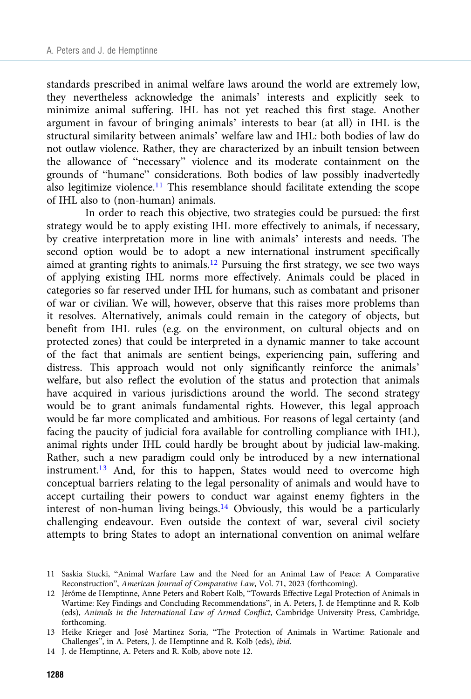standards prescribed in animal welfare laws around the world are extremely low, they nevertheless acknowledge the animals' interests and explicitly seek to minimize animal suffering. IHL has not yet reached this first stage. Another argument in favour of bringing animals' interests to bear (at all) in IHL is the structural similarity between animals' welfare law and IHL: both bodies of law do not outlaw violence. Rather, they are characterized by an inbuilt tension between the allowance of "necessary" violence and its moderate containment on the grounds of "humane" considerations. Both bodies of law possibly inadvertedly also legitimize violence.<sup>11</sup> This resemblance should facilitate extending the scope of IHL also to (non-human) animals.

In order to reach this objective, two strategies could be pursued: the first strategy would be to apply existing IHL more effectively to animals, if necessary, by creative interpretation more in line with animals' interests and needs. The second option would be to adopt a new international instrument specifically aimed at granting rights to animals.<sup>12</sup> Pursuing the first strategy, we see two ways of applying existing IHL norms more effectively. Animals could be placed in categories so far reserved under IHL for humans, such as combatant and prisoner of war or civilian. We will, however, observe that this raises more problems than it resolves. Alternatively, animals could remain in the category of objects, but benefit from IHL rules (e.g. on the environment, on cultural objects and on protected zones) that could be interpreted in a dynamic manner to take account of the fact that animals are sentient beings, experiencing pain, suffering and distress. This approach would not only significantly reinforce the animals' welfare, but also reflect the evolution of the status and protection that animals have acquired in various jurisdictions around the world. The second strategy would be to grant animals fundamental rights. However, this legal approach would be far more complicated and ambitious. For reasons of legal certainty (and facing the paucity of judicial fora available for controlling compliance with IHL), animal rights under IHL could hardly be brought about by judicial law-making. Rather, such a new paradigm could only be introduced by a new international instrument.13 And, for this to happen, States would need to overcome high conceptual barriers relating to the legal personality of animals and would have to accept curtailing their powers to conduct war against enemy fighters in the interest of non-human living beings.14 Obviously, this would be a particularly challenging endeavour. Even outside the context of war, several civil society attempts to bring States to adopt an international convention on animal welfare

<sup>11</sup> Saskia Stucki, "Animal Warfare Law and the Need for an Animal Law of Peace: A Comparative Reconstruction", American Journal of Comparative Law, Vol. 71, 2023 (forthcoming).

<sup>12</sup> Jérôme de Hemptinne, Anne Peters and Robert Kolb, "Towards Effective Legal Protection of Animals in Wartime: Key Findings and Concluding Recommendations", in A. Peters, J. de Hemptinne and R. Kolb (eds), Animals in the International Law of Armed Conflict, Cambridge University Press, Cambridge, forthcoming.

<sup>13</sup> Heike Krieger and José Martinez Soria, "The Protection of Animals in Wartime: Rationale and Challenges", in A. Peters, J. de Hemptinne and R. Kolb (eds), ibid.

<sup>14</sup> J. de Hemptinne, A. Peters and R. Kolb, above note 12.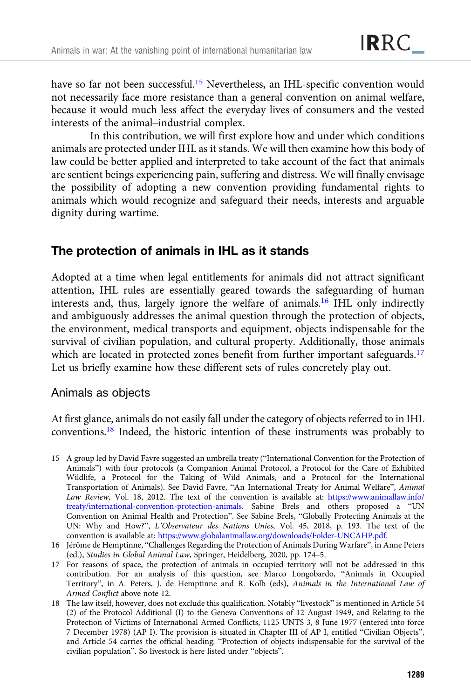have so far not been successful.<sup>15</sup> Nevertheless, an IHL-specific convention would not necessarily face more resistance than a general convention on animal welfare, because it would much less affect the everyday lives of consumers and the vested interests of the animal–industrial complex.

In this contribution, we will first explore how and under which conditions animals are protected under IHL as it stands. We will then examine how this body of law could be better applied and interpreted to take account of the fact that animals are sentient beings experiencing pain, suffering and distress. We will finally envisage the possibility of adopting a new convention providing fundamental rights to animals which would recognize and safeguard their needs, interests and arguable dignity during wartime.

# The protection of animals in IHL as it stands

Adopted at a time when legal entitlements for animals did not attract significant attention, IHL rules are essentially geared towards the safeguarding of human interests and, thus, largely ignore the welfare of animals.16 IHL only indirectly and ambiguously addresses the animal question through the protection of objects, the environment, medical transports and equipment, objects indispensable for the survival of civilian population, and cultural property. Additionally, those animals which are located in protected zones benefit from further important safeguards.<sup>17</sup> Let us briefly examine how these different sets of rules concretely play out.

## Animals as objects

At first glance, animals do not easily fall under the category of objects referred to in IHL conventions.18 Indeed, the historic intention of these instruments was probably to

- 15 A group led by David Favre suggested an umbrella treaty ("International Convention for the Protection of Animals") with four protocols (a Companion Animal Protocol, a Protocol for the Care of Exhibited Wildlife, a Protocol for the Taking of Wild Animals, and a Protocol for the International Transportation of Animals). See David Favre, "An International Treaty for Animal Welfare", Animal Law Review, Vol. 18, 2012. The text of the convention is available at: [https://www.animallaw.info/](https://www.animallaw.info/treaty/international-convention-protection-animals) [treaty/international-convention-protection-animals.](https://www.animallaw.info/treaty/international-convention-protection-animals) Sabine Brels and others proposed a "UN Convention on Animal Health and Protection". See Sabine Brels, "Globally Protecting Animals at the UN: Why and How?", L'Observateur des Nations Unies, Vol. 45, 2018, p. 193. The text of the convention is available at: [https://www.globalanimallaw.org/downloads/Folder-UNCAHP.pdf.](https://www.globalanimallaw.org/downloads/Folder-UNCAHP.pdf)
- 16 Jérôme de Hemptinne, "Challenges Regarding the Protection of Animals During Warfare", in Anne Peters (ed.), Studies in Global Animal Law, Springer, Heidelberg, 2020, pp. 174–5.
- 17 For reasons of space, the protection of animals in occupied territory will not be addressed in this contribution. For an analysis of this question, see Marco Longobardo, "Animals in Occupied Territory", in A. Peters, J. de Hemptinne and R. Kolb (eds), Animals in the International Law of Armed Conflict above note 12.
- 18 The law itself, however, does not exclude this qualification. Notably "livestock" is mentioned in Article 54 (2) of the Protocol Additional (I) to the Geneva Conventions of 12 August 1949, and Relating to the Protection of Victims of International Armed Conflicts, 1125 UNTS 3, 8 June 1977 (entered into force 7 December 1978) (AP I). The provision is situated in Chapter III of AP I, entitled "Civilian Objects", and Article 54 carries the official heading: "Protection of objects indispensable for the survival of the civilian population". So livestock is here listed under "objects".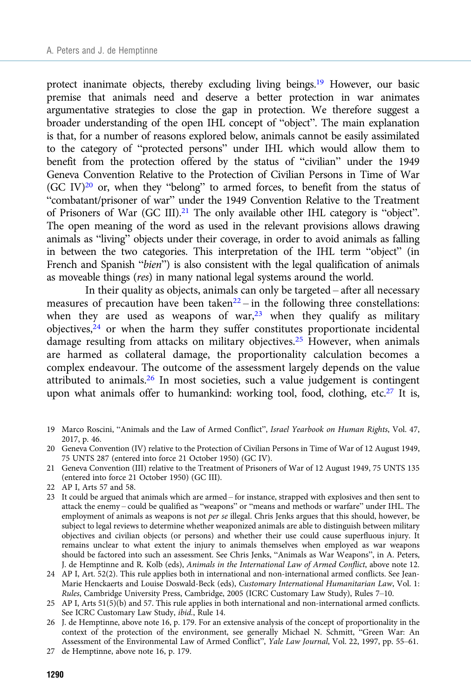protect inanimate objects, thereby excluding living beings.19 However, our basic premise that animals need and deserve a better protection in war animates argumentative strategies to close the gap in protection. We therefore suggest a broader understanding of the open IHL concept of "object". The main explanation is that, for a number of reasons explored below, animals cannot be easily assimilated to the category of "protected persons" under IHL which would allow them to benefit from the protection offered by the status of "civilian" under the 1949 Geneva Convention Relative to the Protection of Civilian Persons in Time of War (GC IV) $^{20}$  or, when they "belong" to armed forces, to benefit from the status of "combatant/prisoner of war" under the 1949 Convention Relative to the Treatment of Prisoners of War (GC III).<sup>21</sup> The only available other IHL category is "object". The open meaning of the word as used in the relevant provisions allows drawing animals as "living" objects under their coverage, in order to avoid animals as falling in between the two categories. This interpretation of the IHL term "object" (in French and Spanish "bien") is also consistent with the legal qualification of animals as moveable things (res) in many national legal systems around the world.

In their quality as objects, animals can only be targeted – after all necessary measures of precaution have been taken $22 -$  in the following three constellations: when they are used as weapons of war, $23$  when they qualify as military objectives,<sup>24</sup> or when the harm they suffer constitutes proportionate incidental damage resulting from attacks on military objectives.25 However, when animals are harmed as collateral damage, the proportionality calculation becomes a complex endeavour. The outcome of the assessment largely depends on the value attributed to animals.<sup>26</sup> In most societies, such a value judgement is contingent upon what animals offer to humankind: working tool, food, clothing, etc.<sup>27</sup> It is,

- 19 Marco Roscini, "Animals and the Law of Armed Conflict", Israel Yearbook on Human Rights, Vol. 47, 2017, p. 46.
- 20 Geneva Convention (IV) relative to the Protection of Civilian Persons in Time of War of 12 August 1949, 75 UNTS 287 (entered into force 21 October 1950) (GC IV).
- 21 Geneva Convention (III) relative to the Treatment of Prisoners of War of 12 August 1949, 75 UNTS 135 (entered into force 21 October 1950) (GC III).
- 22 AP I, Arts 57 and 58.
- 23 It could be argued that animals which are armed for instance, strapped with explosives and then sent to attack the enemy – could be qualified as "weapons" or "means and methods or warfare" under IHL. The employment of animals as weapons is not per se illegal. Chris Jenks argues that this should, however, be subject to legal reviews to determine whether weaponized animals are able to distinguish between military objectives and civilian objects (or persons) and whether their use could cause superfluous injury. It remains unclear to what extent the injury to animals themselves when employed as war weapons should be factored into such an assessment. See Chris Jenks, "Animals as War Weapons", in A. Peters, J. de Hemptinne and R. Kolb (eds), Animals in the International Law of Armed Conflict, above note 12.
- 24 AP I, Art. 52(2). This rule applies both in international and non-international armed conflicts. See Jean-Marie Henckaerts and Louise Doswald-Beck (eds), Customary International Humanitarian Law, Vol. 1: Rules, Cambridge University Press, Cambridge, 2005 (ICRC Customary Law Study), Rules 7–10.
- 25 AP I, Arts 51(5)(b) and 57. This rule applies in both international and non-international armed conflicts. See ICRC Customary Law Study, ibid., Rule 14.
- 26 J. de Hemptinne, above note 16, p. 179. For an extensive analysis of the concept of proportionality in the context of the protection of the environment, see generally Michael N. Schmitt, "Green War: An Assessment of the Environmental Law of Armed Conflict", Yale Law Journal, Vol. 22, 1997, pp. 55–61.
- 27 de Hemptinne, above note 16, p. 179.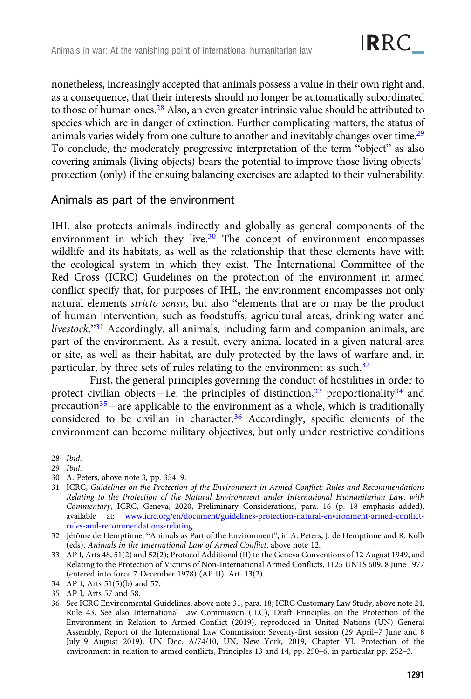nonetheless, increasingly accepted that animals possess a value in their own right and, as a consequence, that their interests should no longer be automatically subordinated to those of human ones.28 Also, an even greater intrinsic value should be attributed to species which are in danger of extinction. Further complicating matters, the status of animals varies widely from one culture to another and inevitably changes over time.29 To conclude, the moderately progressive interpretation of the term "object" as also covering animals (living objects) bears the potential to improve those living objects' protection (only) if the ensuing balancing exercises are adapted to their vulnerability.

#### Animals as part of the environment

IHL also protects animals indirectly and globally as general components of the environment in which they live. $30$  The concept of environment encompasses wildlife and its habitats, as well as the relationship that these elements have with the ecological system in which they exist. The International Committee of the Red Cross (ICRC) Guidelines on the protection of the environment in armed conflict specify that, for purposes of IHL, the environment encompasses not only natural elements stricto sensu, but also "elements that are or may be the product of human intervention, such as foodstuffs, agricultural areas, drinking water and livestock."<sup>31</sup> Accordingly, all animals, including farm and companion animals, are part of the environment. As a result, every animal located in a given natural area or site, as well as their habitat, are duly protected by the laws of warfare and, in particular, by three sets of rules relating to the environment as such.<sup>32</sup>

First, the general principles governing the conduct of hostilities in order to protect civilian objects – i.e. the principles of distinction,  $33$  proportionality  $34$  and precaution<sup>35</sup> – are applicable to the environment as a whole, which is traditionally considered to be civilian in character.<sup>36</sup> Accordingly, specific elements of the environment can become military objectives, but only under restrictive conditions

- 29 Ibid.
- 30 A. Peters, above note 3, pp. 354–9.
- 31 ICRC, Guidelines on the Protection of the Environment in Armed Conflict: Rules and Recommendations Relating to the Protection of the Natural Environment under International Humanitarian Law, with Commentary, ICRC, Geneva, 2020, Preliminary Considerations, para. 16 (p. 18 emphasis added), available at: [www.icrc.org/en/document/guidelines-protection-natural-environment-armed-conflict](http://www.icrc.org/en/document/guidelines-protection-natural-environment-armed-conflict-rules-and-recommendations-relating)[rules-and-recommendations-relating](http://www.icrc.org/en/document/guidelines-protection-natural-environment-armed-conflict-rules-and-recommendations-relating).
- 32 Jérôme de Hemptinne, "Animals as Part of the Environment", in A. Peters, J. de Hemptinne and R. Kolb (eds), Animals in the International Law of Armed Conflict, above note 12.
- 33 AP I, Arts 48, 51(2) and 52(2); Protocol Additional (II) to the Geneva Conventions of 12 August 1949, and Relating to the Protection of Victims of Non-International Armed Conflicts, 1125 UNTS 609, 8 June 1977 (entered into force 7 December 1978) (AP II), Art. 13(2).
- 34 AP I, Arts 51(5)(b) and 57.
- 35 AP I, Arts 57 and 58.
- 36 See ICRC Environmental Guidelines, above note 31, para. 18; ICRC Customary Law Study, above note 24, Rule 43. See also International Law Commission (ILC), Draft Principles on the Protection of the Environment in Relation to Armed Conflict (2019), reproduced in United Nations (UN) General Assembly, Report of the International Law Commission: Seventy-first session (29 April–7 June and 8 July–9 August 2019), UN Doc. A/74/10, UN, New York, 2019, Chapter VI. Protection of the environment in relation to armed conflicts, Principles 13 and 14, pp. 250–6, in particular pp. 252–3.

<sup>28</sup> Ibid.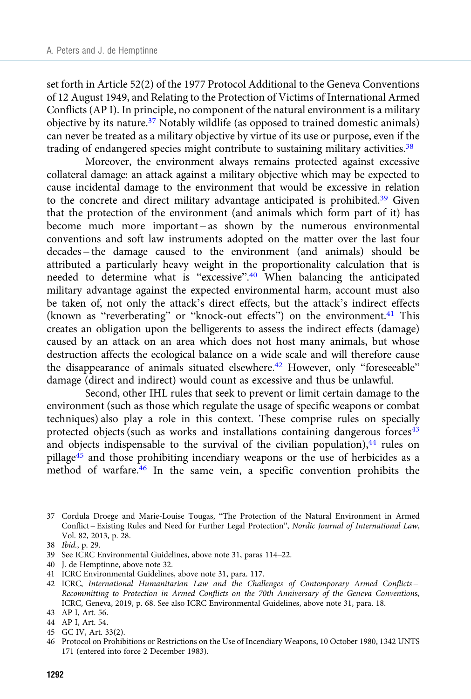set forth in Article 52(2) of the 1977 Protocol Additional to the Geneva Conventions of 12 August 1949, and Relating to the Protection of Victims of International Armed Conflicts (AP I). In principle, no component of the natural environment is a military objective by its nature.37 Notably wildlife (as opposed to trained domestic animals) can never be treated as a military objective by virtue of its use or purpose, even if the trading of endangered species might contribute to sustaining military activities.<sup>38</sup>

Moreover, the environment always remains protected against excessive collateral damage: an attack against a military objective which may be expected to cause incidental damage to the environment that would be excessive in relation to the concrete and direct military advantage anticipated is prohibited.<sup>39</sup> Given that the protection of the environment (and animals which form part of it) has become much more important – as shown by the numerous environmental conventions and soft law instruments adopted on the matter over the last four decades – the damage caused to the environment (and animals) should be attributed a particularly heavy weight in the proportionality calculation that is needed to determine what is "excessive".<sup>40</sup> When balancing the anticipated military advantage against the expected environmental harm, account must also be taken of, not only the attack's direct effects, but the attack's indirect effects (known as "reverberating" or "knock-out effects") on the environment.<sup>41</sup> This creates an obligation upon the belligerents to assess the indirect effects (damage) caused by an attack on an area which does not host many animals, but whose destruction affects the ecological balance on a wide scale and will therefore cause the disappearance of animals situated elsewhere.<sup>42</sup> However, only "foreseeable" damage (direct and indirect) would count as excessive and thus be unlawful.

Second, other IHL rules that seek to prevent or limit certain damage to the environment (such as those which regulate the usage of specific weapons or combat techniques) also play a role in this context. These comprise rules on specially protected objects (such as works and installations containing dangerous forces<sup>43</sup> and objects indispensable to the survival of the civilian population), $44$  rules on pillage<sup>45</sup> and those prohibiting incendiary weapons or the use of herbicides as a method of warfare.<sup>46</sup> In the same vein, a specific convention prohibits the

- 40 J. de Hemptinne, above note 32.
- 41 ICRC Environmental Guidelines, above note 31, para. 117.
- 42 ICRC, International Humanitarian Law and the Challenges of Contemporary Armed Conflicts Recommitting to Protection in Armed Conflicts on the 70th Anniversary of the Geneva Conventions, ICRC, Geneva, 2019, p. 68. See also ICRC Environmental Guidelines, above note 31, para. 18.
- 43 AP I, Art. 56.
- 44 AP I, Art. 54.
- 45 GC IV, Art. 33(2).
- 46 Protocol on Prohibitions or Restrictions on the Use of Incendiary Weapons, 10 October 1980, 1342 UNTS 171 (entered into force 2 December 1983).

<sup>37</sup> Cordula Droege and Marie-Louise Tougas, "The Protection of the Natural Environment in Armed Conflict – Existing Rules and Need for Further Legal Protection", Nordic Journal of International Law, Vol. 82, 2013, p. 28.

<sup>38</sup> Ibid., p. 29.

<sup>39</sup> See ICRC Environmental Guidelines, above note 31, paras 114–22.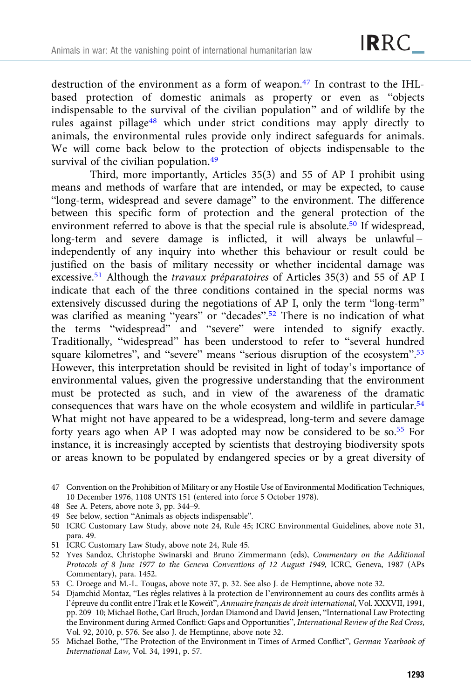destruction of the environment as a form of weapon.<sup>47</sup> In contrast to the IHLbased protection of domestic animals as property or even as "objects indispensable to the survival of the civilian population" and of wildlife by the rules against pillage<sup>48</sup> which under strict conditions may apply directly to animals, the environmental rules provide only indirect safeguards for animals. We will come back below to the protection of objects indispensable to the survival of the civilian population.<sup>49</sup>

Third, more importantly, Articles 35(3) and 55 of AP I prohibit using means and methods of warfare that are intended, or may be expected, to cause "long-term, widespread and severe damage" to the environment. The difference between this specific form of protection and the general protection of the environment referred to above is that the special rule is absolute.<sup>50</sup> If widespread,  $long-term$  and severe damage is inflicted, it will always be unlawful – independently of any inquiry into whether this behaviour or result could be justified on the basis of military necessity or whether incidental damage was excessive.51 Although the travaux préparatoires of Articles 35(3) and 55 of AP I indicate that each of the three conditions contained in the special norms was extensively discussed during the negotiations of AP I, only the term "long-term" was clarified as meaning "years" or "decades".<sup>52</sup> There is no indication of what the terms "widespread" and "severe" were intended to signify exactly. Traditionally, "widespread" has been understood to refer to "several hundred square kilometres", and "severe" means "serious disruption of the ecosystem".<sup>53</sup> However, this interpretation should be revisited in light of today's importance of environmental values, given the progressive understanding that the environment must be protected as such, and in view of the awareness of the dramatic consequences that wars have on the whole ecosystem and wildlife in particular.54 What might not have appeared to be a widespread, long-term and severe damage forty years ago when AP I was adopted may now be considered to be so.<sup>55</sup> For instance, it is increasingly accepted by scientists that destroying biodiversity spots or areas known to be populated by endangered species or by a great diversity of

- 48 See A. Peters, above note 3, pp. 344–9.
- 49 See below, section "Animals as objects indispensable".
- 50 ICRC Customary Law Study, above note 24, Rule 45; ICRC Environmental Guidelines, above note 31, para. 49.
- 51 ICRC Customary Law Study, above note 24, Rule 45.
- 52 Yves Sandoz, Christophe Swinarski and Bruno Zimmermann (eds), Commentary on the Additional Protocols of 8 June 1977 to the Geneva Conventions of 12 August 1949, ICRC, Geneva, 1987 (APs Commentary), para. 1452.
- 53 C. Droege and M.-L. Tougas, above note 37, p. 32. See also J. de Hemptinne, above note 32.
- 54 Djamchid Montaz, "Les règles relatives à la protection de l'environnement au cours des conflits armés à l'épreuve du conflit entre l'Irak et le Koweït", Annuaire français de droit international, Vol. XXXVII, 1991, pp. 209–10; Michael Bothe, Carl Bruch, Jordan Diamond and David Jensen, "International Law Protecting the Environment during Armed Conflict: Gaps and Opportunities", International Review of the Red Cross, Vol. 92, 2010, p. 576. See also J. de Hemptinne, above note 32.
- 55 Michael Bothe, "The Protection of the Environment in Times of Armed Conflict", German Yearbook of International Law, Vol. 34, 1991, p. 57.

<sup>47</sup> Convention on the Prohibition of Military or any Hostile Use of Environmental Modification Techniques, 10 December 1976, 1108 UNTS 151 (entered into force 5 October 1978).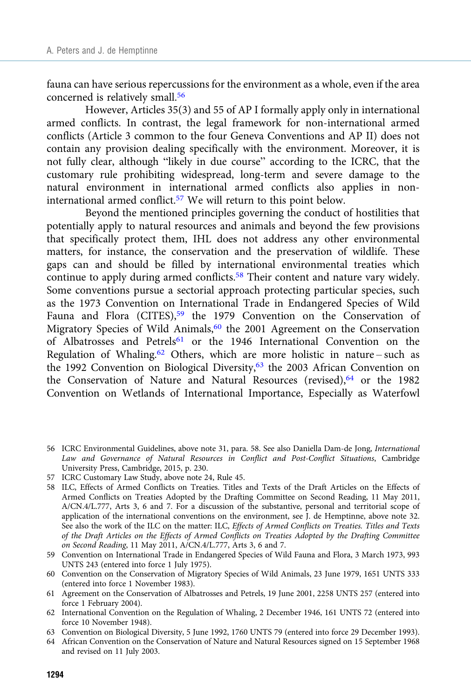fauna can have serious repercussions for the environment as a whole, even if the area concerned is relatively small.<sup>56</sup>

However, Articles 35(3) and 55 of AP I formally apply only in international armed conflicts. In contrast, the legal framework for non-international armed conflicts (Article 3 common to the four Geneva Conventions and AP II) does not contain any provision dealing specifically with the environment. Moreover, it is not fully clear, although "likely in due course" according to the ICRC, that the customary rule prohibiting widespread, long-term and severe damage to the natural environment in international armed conflicts also applies in noninternational armed conflict.57 We will return to this point below.

Beyond the mentioned principles governing the conduct of hostilities that potentially apply to natural resources and animals and beyond the few provisions that specifically protect them, IHL does not address any other environmental matters, for instance, the conservation and the preservation of wildlife. These gaps can and should be filled by international environmental treaties which continue to apply during armed conflicts.<sup>58</sup> Their content and nature vary widely. Some conventions pursue a sectorial approach protecting particular species, such as the 1973 Convention on International Trade in Endangered Species of Wild Fauna and Flora (CITES),<sup>59</sup> the 1979 Convention on the Conservation of Migratory Species of Wild Animals,<sup>60</sup> the 2001 Agreement on the Conservation of Albatrosses and Petrels<sup>61</sup> or the 1946 International Convention on the Regulation of Whaling.<sup>62</sup> Others, which are more holistic in nature – such as the 1992 Convention on Biological Diversity,<sup>63</sup> the 2003 African Convention on the Conservation of Nature and Natural Resources (revised), $64$  or the 1982 Convention on Wetlands of International Importance, Especially as Waterfowl

- 56 ICRC Environmental Guidelines, above note 31, para. 58. See also Daniella Dam-de Jong, International Law and Governance of Natural Resources in Conflict and Post-Conflict Situations, Cambridge University Press, Cambridge, 2015, p. 230.
- 57 ICRC Customary Law Study, above note 24, Rule 45.
- 58 ILC, Effects of Armed Conflicts on Treaties. Titles and Texts of the Draft Articles on the Effects of Armed Conflicts on Treaties Adopted by the Drafting Committee on Second Reading, 11 May 2011, A/CN.4/L.777, Arts 3, 6 and 7. For a discussion of the substantive, personal and territorial scope of application of the international conventions on the environment, see J. de Hemptinne, above note 32. See also the work of the ILC on the matter: ILC, Effects of Armed Conflicts on Treaties. Titles and Texts of the Draft Articles on the Effects of Armed Conflicts on Treaties Adopted by the Drafting Committee on Second Reading, 11 May 2011, A/CN.4/L.777, Arts 3, 6 and 7.
- 59 Convention on International Trade in Endangered Species of Wild Fauna and Flora, 3 March 1973, 993 UNTS 243 (entered into force 1 July 1975).
- 60 Convention on the Conservation of Migratory Species of Wild Animals, 23 June 1979, 1651 UNTS 333 (entered into force 1 November 1983).
- 61 Agreement on the Conservation of Albatrosses and Petrels, 19 June 2001, 2258 UNTS 257 (entered into force 1 February 2004).
- 62 International Convention on the Regulation of Whaling, 2 December 1946, 161 UNTS 72 (entered into force 10 November 1948).
- 63 Convention on Biological Diversity, 5 June 1992, 1760 UNTS 79 (entered into force 29 December 1993).
- 64 African Convention on the Conservation of Nature and Natural Resources signed on 15 September 1968 and revised on 11 July 2003.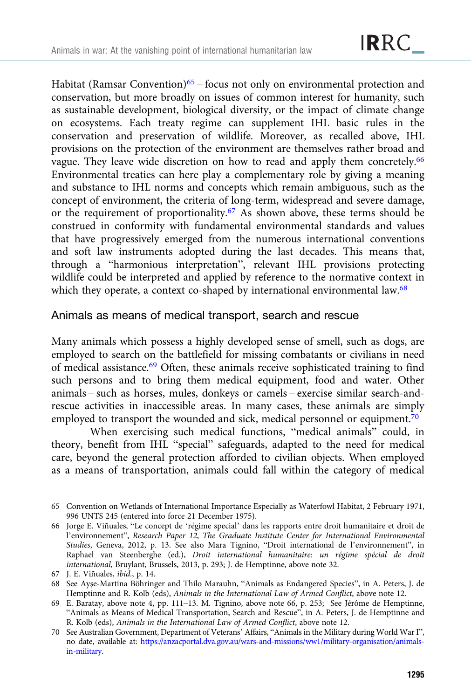Habitat (Ramsar Convention)<sup>65</sup> – focus not only on environmental protection and conservation, but more broadly on issues of common interest for humanity, such as sustainable development, biological diversity, or the impact of climate change on ecosystems. Each treaty regime can supplement IHL basic rules in the conservation and preservation of wildlife. Moreover, as recalled above, IHL provisions on the protection of the environment are themselves rather broad and vague. They leave wide discretion on how to read and apply them concretely.<sup>66</sup> Environmental treaties can here play a complementary role by giving a meaning and substance to IHL norms and concepts which remain ambiguous, such as the concept of environment, the criteria of long-term, widespread and severe damage, or the requirement of proportionality.67 As shown above, these terms should be construed in conformity with fundamental environmental standards and values that have progressively emerged from the numerous international conventions and soft law instruments adopted during the last decades. This means that, through a "harmonious interpretation", relevant IHL provisions protecting wildlife could be interpreted and applied by reference to the normative context in which they operate, a context co-shaped by international environmental law.<sup>68</sup>

Animals as means of medical transport, search and rescue

Many animals which possess a highly developed sense of smell, such as dogs, are employed to search on the battlefield for missing combatants or civilians in need of medical assistance.<sup>69</sup> Often, these animals receive sophisticated training to find such persons and to bring them medical equipment, food and water. Other animals – such as horses, mules, donkeys or camels – exercise similar search-andrescue activities in inaccessible areas. In many cases, these animals are simply employed to transport the wounded and sick, medical personnel or equipment.<sup>70</sup>

When exercising such medical functions, "medical animals" could, in theory, benefit from IHL "special" safeguards, adapted to the need for medical care, beyond the general protection afforded to civilian objects. When employed as a means of transportation, animals could fall within the category of medical

<sup>65</sup> Convention on Wetlands of International Importance Especially as Waterfowl Habitat, 2 February 1971, 996 UNTS 245 (entered into force 21 December 1975).

<sup>66</sup> Jorge E. Viñuales, "Le concept de 'régime special' dans les rapports entre droit humanitaire et droit de l'environnement", Research Paper 12, The Graduate Institute Center for International Environmental Studies, Geneva, 2012, p. 13. See also Mara Tignino, "Droit international de l'environnement", in Raphael van Steenberghe (ed.), Droit international humanitaire: un régime spécial de droit international, Bruylant, Brussels, 2013, p. 293; J. de Hemptinne, above note 32.

<sup>67</sup> J. E. Viñuales, ibid., p. 14.

<sup>68</sup> See Ayşe-Martina Böhringer and Thilo Marauhn, "Animals as Endangered Species", in A. Peters, J. de Hemptinne and R. Kolb (eds), Animals in the International Law of Armed Conflict, above note 12.

<sup>69</sup> E. Baratay, above note 4, pp. 111–13. M. Tignino, above note 66, p. 253; See Jérôme de Hemptinne, "Animals as Means of Medical Transportation, Search and Rescue", in A. Peters, J. de Hemptinne and R. Kolb (eds), Animals in the International Law of Armed Conflict, above note 12.

<sup>70</sup> See Australian Government, Department of Veterans' Affairs, "Animals in the Military during World War I", no date, available at: [https://anzacportal.dva.gov.au/wars-and-missions/ww1/military-organisation/animals](https://anzacportal.dva.gov.au/wars-and-missions/ww1/military-organisation/animals-in-military)[in-military.](https://anzacportal.dva.gov.au/wars-and-missions/ww1/military-organisation/animals-in-military)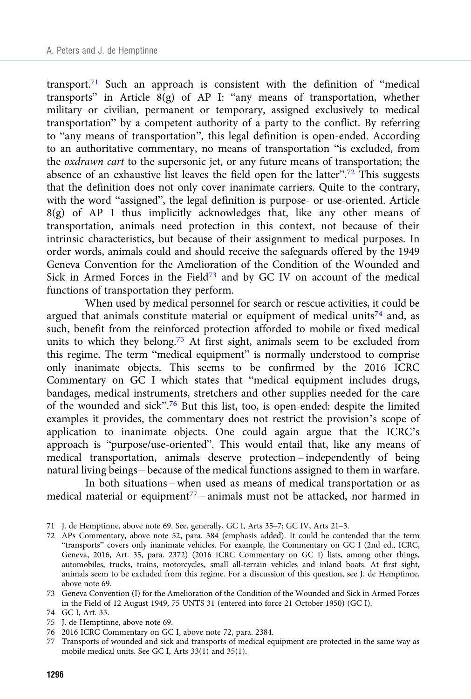transport.<sup>71</sup> Such an approach is consistent with the definition of "medical transports" in Article  $\hat{8(g)}$  of AP I: "any means of transportation, whether military or civilian, permanent or temporary, assigned exclusively to medical transportation" by a competent authority of a party to the conflict. By referring to "any means of transportation", this legal definition is open-ended. According to an authoritative commentary, no means of transportation "is excluded, from the oxdrawn cart to the supersonic jet, or any future means of transportation; the absence of an exhaustive list leaves the field open for the latter".<sup>72</sup> This suggests that the definition does not only cover inanimate carriers. Quite to the contrary, with the word "assigned", the legal definition is purpose- or use-oriented. Article 8(g) of AP I thus implicitly acknowledges that, like any other means of transportation, animals need protection in this context, not because of their intrinsic characteristics, but because of their assignment to medical purposes. In order words, animals could and should receive the safeguards offered by the 1949 Geneva Convention for the Amelioration of the Condition of the Wounded and Sick in Armed Forces in the Field<sup>73</sup> and by GC IV on account of the medical functions of transportation they perform.

When used by medical personnel for search or rescue activities, it could be argued that animals constitute material or equipment of medical units<sup>74</sup> and, as such, benefit from the reinforced protection afforded to mobile or fixed medical units to which they belong.<sup>75</sup> At first sight, animals seem to be excluded from this regime. The term "medical equipment" is normally understood to comprise only inanimate objects. This seems to be confirmed by the 2016 ICRC Commentary on GC I which states that "medical equipment includes drugs, bandages, medical instruments, stretchers and other supplies needed for the care of the wounded and sick".<sup>76</sup> But this list, too, is open-ended: despite the limited examples it provides, the commentary does not restrict the provision's scope of application to inanimate objects. One could again argue that the ICRC's approach is "purpose/use-oriented". This would entail that, like any means of medical transportation, animals deserve protection – independently of being natural living beings – because of the medical functions assigned to them in warfare.

In both situations – when used as means of medical transportation or as medical material or equipment<sup>77</sup> – animals must not be attacked, nor harmed in

- 75 J. de Hemptinne, above note 69.
- 76 2016 ICRC Commentary on GC I, above note 72, para. 2384.
- 77 Transports of wounded and sick and transports of medical equipment are protected in the same way as mobile medical units. See GC I, Arts 33(1) and 35(1).

<sup>71</sup> J. de Hemptinne, above note 69. See, generally, GC I, Arts 35–7; GC IV, Arts 21–3.

<sup>72</sup> APs Commentary, above note 52, para. 384 (emphasis added). It could be contended that the term "transports" covers only inanimate vehicles. For example, the Commentary on GC I (2nd ed., ICRC, Geneva, 2016, Art. 35, para. 2372) (2016 ICRC Commentary on GC I) lists, among other things, automobiles, trucks, trains, motorcycles, small all-terrain vehicles and inland boats. At first sight, animals seem to be excluded from this regime. For a discussion of this question, see J. de Hemptinne, above note 69.

<sup>73</sup> Geneva Convention (I) for the Amelioration of the Condition of the Wounded and Sick in Armed Forces in the Field of 12 August 1949, 75 UNTS 31 (entered into force 21 October 1950) (GC I).

<sup>74</sup> GC I, Art. 33.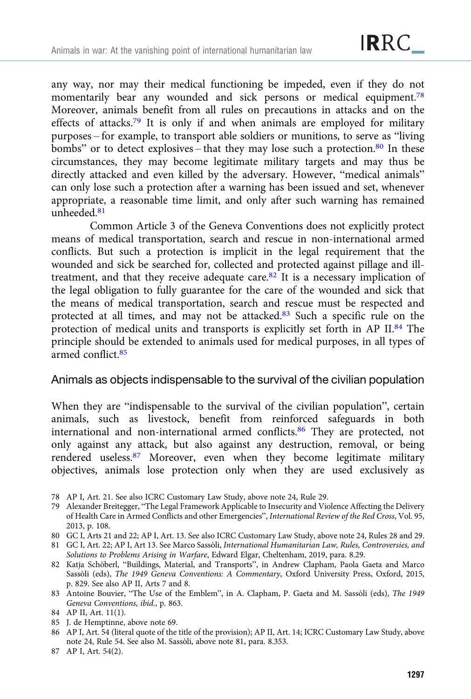any way, nor may their medical functioning be impeded, even if they do not momentarily bear any wounded and sick persons or medical equipment.<sup>78</sup> Moreover, animals benefit from all rules on precautions in attacks and on the effects of attacks.79 It is only if and when animals are employed for military purposes – for example, to transport able soldiers or munitions, to serve as "living bombs" or to detect explosives – that they may lose such a protection. $80$  In these circumstances, they may become legitimate military targets and may thus be directly attacked and even killed by the adversary. However, "medical animals" can only lose such a protection after a warning has been issued and set, whenever appropriate, a reasonable time limit, and only after such warning has remained unheeded.<sup>81</sup>

Common Article 3 of the Geneva Conventions does not explicitly protect means of medical transportation, search and rescue in non-international armed conflicts. But such a protection is implicit in the legal requirement that the wounded and sick be searched for, collected and protected against pillage and illtreatment, and that they receive adequate care. $82$  It is a necessary implication of the legal obligation to fully guarantee for the care of the wounded and sick that the means of medical transportation, search and rescue must be respected and protected at all times, and may not be attacked.83 Such a specific rule on the protection of medical units and transports is explicitly set forth in AP II.84 The principle should be extended to animals used for medical purposes, in all types of armed conflict.<sup>85</sup>

#### Animals as objects indispensable to the survival of the civilian population

When they are "indispensable to the survival of the civilian population", certain animals, such as livestock, benefit from reinforced safeguards in both international and non-international armed conflicts.<sup>86</sup> They are protected, not only against any attack, but also against any destruction, removal, or being rendered useless.87 Moreover, even when they become legitimate military objectives, animals lose protection only when they are used exclusively as

- 78 AP I, Art. 21. See also ICRC Customary Law Study, above note 24, Rule 29.
- 79 Alexander Breitegger, "The Legal Framework Applicable to Insecurity and Violence Affecting the Delivery of Health Care in Armed Conflicts and other Emergencies", International Review of the Red Cross, Vol. 95, 2013, p. 108.
- 80 GC I, Arts 21 and 22; AP I, Art. 13. See also ICRC Customary Law Study, above note 24, Rules 28 and 29.
- 81 GC I, Art. 22; AP I, Art 13. See Marco Sassòli, International Humanitarian Law, Rules, Controversies, and Solutions to Problems Arising in Warfare, Edward Elgar, Cheltenham, 2019, para. 8.29.
- 82 Katja Schöberl, "Buildings, Material, and Transports", in Andrew Clapham, Paola Gaeta and Marco Sassòli (eds), The 1949 Geneva Conventions: A Commentary, Oxford University Press, Oxford, 2015, p. 829. See also AP II, Arts 7 and 8.
- 83 Antoine Bouvier, "The Use of the Emblem", in A. Clapham, P. Gaeta and M. Sassòli (eds), The 1949 Geneva Conventions, ibid., p. 863.
- 84 AP II, Art. 11(1).
- 85 J. de Hemptinne, above note 69.
- 86 AP I, Art. 54 (literal quote of the title of the provision); AP II, Art. 14; ICRC Customary Law Study, above note 24, Rule 54. See also M. Sassòli, above note 81, para. 8.353.
- 87 AP I, Art. 54(2).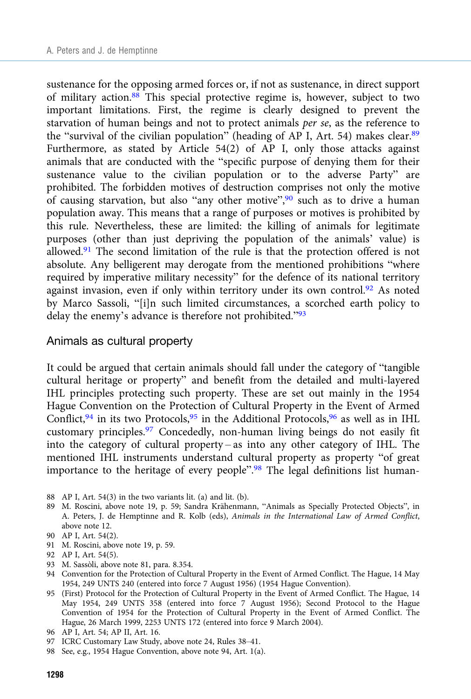sustenance for the opposing armed forces or, if not as sustenance, in direct support of military action. $88$  This special protective regime is, however, subject to two important limitations. First, the regime is clearly designed to prevent the starvation of human beings and not to protect animals per se, as the reference to the "survival of the civilian population" (heading of AP I, Art. 54) makes clear.<sup>89</sup> Furthermore, as stated by Article 54(2) of AP I, only those attacks against animals that are conducted with the "specific purpose of denying them for their sustenance value to the civilian population or to the adverse Party" are prohibited. The forbidden motives of destruction comprises not only the motive of causing starvation, but also "any other motive",<sup>90</sup> such as to drive a human population away. This means that a range of purposes or motives is prohibited by this rule. Nevertheless, these are limited: the killing of animals for legitimate purposes (other than just depriving the population of the animals' value) is allowed. $91$  The second limitation of the rule is that the protection offered is not absolute. Any belligerent may derogate from the mentioned prohibitions "where required by imperative military necessity" for the defence of its national territory against invasion, even if only within territory under its own control.<sup>92</sup> As noted by Marco Sassoli, "[i]n such limited circumstances, a scorched earth policy to delay the enemy's advance is therefore not prohibited."<sup>93</sup>

#### Animals as cultural property

It could be argued that certain animals should fall under the category of "tangible cultural heritage or property" and benefit from the detailed and multi-layered IHL principles protecting such property. These are set out mainly in the 1954 Hague Convention on the Protection of Cultural Property in the Event of Armed Conflict,  $94$  in its two Protocols,  $95$  in the Additional Protocols,  $96$  as well as in IHL customary principles.97 Concededly, non-human living beings do not easily fit into the category of cultural property – as into any other category of IHL. The mentioned IHL instruments understand cultural property as property "of great importance to the heritage of every people".<sup>98</sup> The legal definitions list human-

- 88 AP I, Art. 54(3) in the two variants lit. (a) and lit. (b).
- 89 M. Roscini, above note 19, p. 59; Sandra Krähenmann, "Animals as Specially Protected Objects", in A. Peters, J. de Hemptinne and R. Kolb (eds), Animals in the International Law of Armed Conflict, above note 12.
- 90 AP I, Art. 54(2).
- 91 M. Roscini, above note 19, p. 59.
- 92 AP I, Art. 54(5).
- 93 M. Sassòli, above note 81, para. 8.354.
- 94 Convention for the Protection of Cultural Property in the Event of Armed Conflict. The Hague, 14 May 1954, 249 UNTS 240 (entered into force 7 August 1956) (1954 Hague Convention).
- 95 (First) Protocol for the Protection of Cultural Property in the Event of Armed Conflict. The Hague, 14 May 1954, 249 UNTS 358 (entered into force 7 August 1956); Second Protocol to the Hague Convention of 1954 for the Protection of Cultural Property in the Event of Armed Conflict. The Hague, 26 March 1999, 2253 UNTS 172 (entered into force 9 March 2004).
- 96 AP I, Art. 54; AP II, Art. 16.
- 97 ICRC Customary Law Study, above note 24, Rules 38–41.
- 98 See, e.g., 1954 Hague Convention, above note 94, Art. 1(a).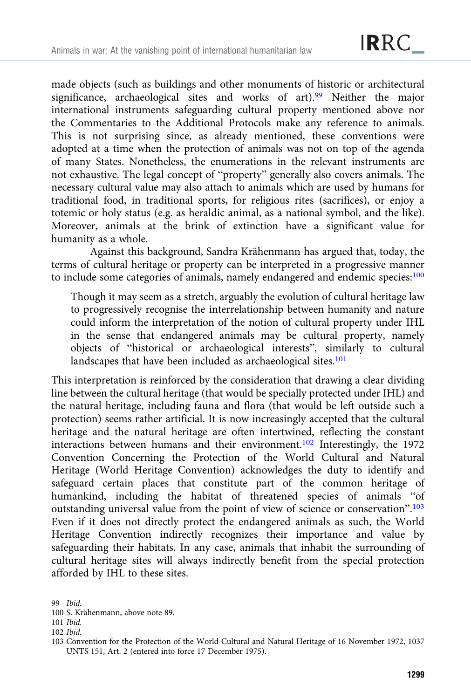made objects (such as buildings and other monuments of historic or architectural significance, archaeological sites and works of art).<sup>99</sup> Neither the major international instruments safeguarding cultural property mentioned above nor the Commentaries to the Additional Protocols make any reference to animals. This is not surprising since, as already mentioned, these conventions were adopted at a time when the protection of animals was not on top of the agenda of many States. Nonetheless, the enumerations in the relevant instruments are not exhaustive. The legal concept of "property" generally also covers animals. The necessary cultural value may also attach to animals which are used by humans for traditional food, in traditional sports, for religious rites (sacrifices), or enjoy a totemic or holy status (e.g. as heraldic animal, as a national symbol, and the like). Moreover, animals at the brink of extinction have a significant value for humanity as a whole.

Against this background, Sandra Krähenmann has argued that, today, the terms of cultural heritage or property can be interpreted in a progressive manner to include some categories of animals, namely endangered and endemic species:<sup>100</sup>

Though it may seem as a stretch, arguably the evolution of cultural heritage law to progressively recognise the interrelationship between humanity and nature could inform the interpretation of the notion of cultural property under IHL in the sense that endangered animals may be cultural property, namely objects of "historical or archaeological interests", similarly to cultural landscapes that have been included as archaeological sites.<sup>101</sup>

This interpretation is reinforced by the consideration that drawing a clear dividing line between the cultural heritage (that would be specially protected under IHL) and the natural heritage, including fauna and flora (that would be left outside such a protection) seems rather artificial. It is now increasingly accepted that the cultural heritage and the natural heritage are often intertwined, reflecting the constant interactions between humans and their environment.<sup>102</sup> Interestingly, the 1972 Convention Concerning the Protection of the World Cultural and Natural Heritage (World Heritage Convention) acknowledges the duty to identify and safeguard certain places that constitute part of the common heritage of humankind, including the habitat of threatened species of animals "of outstanding universal value from the point of view of science or conservation".<sup>103</sup> Even if it does not directly protect the endangered animals as such, the World Heritage Convention indirectly recognizes their importance and value by safeguarding their habitats. In any case, animals that inhabit the surrounding of cultural heritage sites will always indirectly benefit from the special protection afforded by IHL to these sites.

<sup>99</sup> Ibid.

<sup>100</sup> S. Krähenmann, above note 89.

<sup>101</sup> Ibid.

<sup>102</sup> Ibid.

<sup>103</sup> Convention for the Protection of the World Cultural and Natural Heritage of 16 November 1972, 1037 UNTS 151, Art. 2 (entered into force 17 December 1975).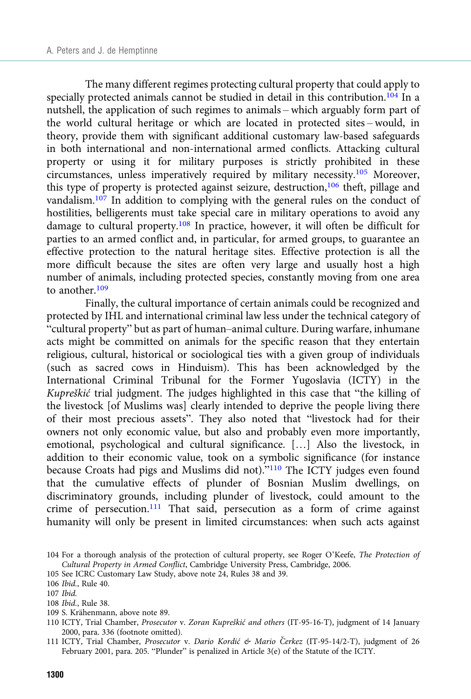The many different regimes protecting cultural property that could apply to specially protected animals cannot be studied in detail in this contribution.<sup>104</sup> In a nutshell, the application of such regimes to animals – which arguably form part of the world cultural heritage or which are located in protected sites – would, in theory, provide them with significant additional customary law-based safeguards in both international and non-international armed conflicts. Attacking cultural property or using it for military purposes is strictly prohibited in these circumstances, unless imperatively required by military necessity.<sup>105</sup> Moreover, this type of property is protected against seizure, destruction,<sup>106</sup> theft, pillage and vandalism.<sup>107</sup> In addition to complying with the general rules on the conduct of hostilities, belligerents must take special care in military operations to avoid any damage to cultural property.108 In practice, however, it will often be difficult for parties to an armed conflict and, in particular, for armed groups, to guarantee an effective protection to the natural heritage sites. Effective protection is all the more difficult because the sites are often very large and usually host a high number of animals, including protected species, constantly moving from one area to another.<sup>109</sup>

Finally, the cultural importance of certain animals could be recognized and protected by IHL and international criminal law less under the technical category of "cultural property" but as part of human–animal culture. During warfare, inhumane acts might be committed on animals for the specific reason that they entertain religious, cultural, historical or sociological ties with a given group of individuals (such as sacred cows in Hinduism). This has been acknowledged by the International Criminal Tribunal for the Former Yugoslavia (ICTY) in the Kupreškić trial judgment. The judges highlighted in this case that "the killing of the livestock [of Muslims was] clearly intended to deprive the people living there of their most precious assets". They also noted that "livestock had for their owners not only economic value, but also and probably even more importantly, emotional, psychological and cultural significance. […] Also the livestock, in addition to their economic value, took on a symbolic significance (for instance because Croats had pigs and Muslims did not)."<sup>110</sup> The ICTY judges even found that the cumulative effects of plunder of Bosnian Muslim dwellings, on discriminatory grounds, including plunder of livestock, could amount to the crime of persecution.<sup>111</sup> That said, persecution as a form of crime against humanity will only be present in limited circumstances: when such acts against

109 S. Krähenmann, above note 89.

<sup>104</sup> For a thorough analysis of the protection of cultural property, see Roger O'Keefe, The Protection of Cultural Property in Armed Conflict, Cambridge University Press, Cambridge, 2006.

<sup>105</sup> See ICRC Customary Law Study, above note 24, Rules 38 and 39.

<sup>106</sup> Ibid., Rule 40.

<sup>107</sup> Ibid.

<sup>108</sup> Ibid., Rule 38.

<sup>110</sup> ICTY, Trial Chamber, Prosecutor v. Zoran Kupreškić and others (IT-95-16-T), judgment of 14 January 2000, para. 336 (footnote omitted).

<sup>111</sup> ICTY, Trial Chamber, Prosecutor v. Dario Kordić & Mario Čerkez (IT-95-14/2-T), judgment of 26 February 2001, para. 205. "Plunder" is penalized in Article 3(e) of the Statute of the ICTY.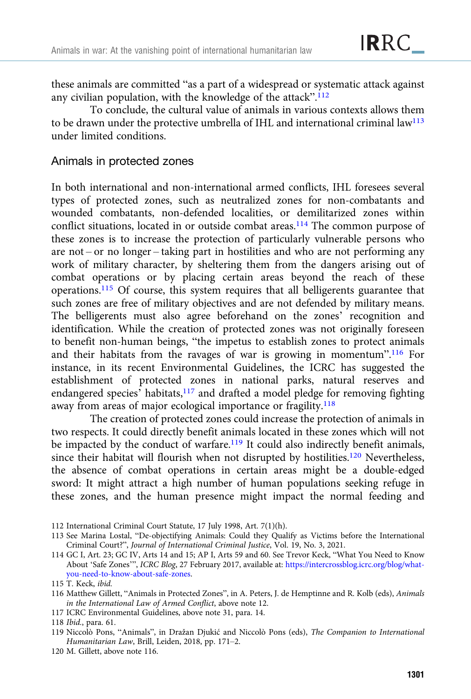these animals are committed "as a part of a widespread or systematic attack against any civilian population, with the knowledge of the attack".<sup>112</sup>

To conclude, the cultural value of animals in various contexts allows them to be drawn under the protective umbrella of IHL and international criminal  $law^{113}$ under limited conditions.

#### Animals in protected zones

In both international and non-international armed conflicts, IHL foresees several types of protected zones, such as neutralized zones for non-combatants and wounded combatants, non-defended localities, or demilitarized zones within conflict situations, located in or outside combat areas.<sup>114</sup> The common purpose of these zones is to increase the protection of particularly vulnerable persons who are not – or no longer – taking part in hostilities and who are not performing any work of military character, by sheltering them from the dangers arising out of combat operations or by placing certain areas beyond the reach of these operations.115 Of course, this system requires that all belligerents guarantee that such zones are free of military objectives and are not defended by military means. The belligerents must also agree beforehand on the zones' recognition and identification. While the creation of protected zones was not originally foreseen to benefit non-human beings, "the impetus to establish zones to protect animals and their habitats from the ravages of war is growing in momentum".<sup>116</sup> For instance, in its recent Environmental Guidelines, the ICRC has suggested the establishment of protected zones in national parks, natural reserves and endangered species<sup>7</sup> habitats,<sup>117</sup> and drafted a model pledge for removing fighting away from areas of major ecological importance or fragility.<sup>118</sup>

The creation of protected zones could increase the protection of animals in two respects. It could directly benefit animals located in these zones which will not be impacted by the conduct of warfare.<sup>119</sup> It could also indirectly benefit animals, since their habitat will flourish when not disrupted by hostilities.<sup>120</sup> Nevertheless, the absence of combat operations in certain areas might be a double-edged sword: It might attract a high number of human populations seeking refuge in these zones, and the human presence might impact the normal feeding and

<sup>112</sup> International Criminal Court Statute, 17 July 1998, Art. 7(1)(h).

<sup>113</sup> See Marina Lostal, "De-objectifying Animals: Could they Qualify as Victims before the International Criminal Court?", Journal of International Criminal Justice, Vol. 19, No. 3, 2021.

<sup>114</sup> GC I, Art. 23; GC IV, Arts 14 and 15; AP I, Arts 59 and 60. See Trevor Keck, "What You Need to Know About 'Safe Zones'", ICRC Blog, 27 February 2017, available at: [https://intercrossblog.icrc.org/blog/what](https://intercrossblog.icrc.org/blog/what-you-need-to-know-about-safe-zones)[you-need-to-know-about-safe-zones.](https://intercrossblog.icrc.org/blog/what-you-need-to-know-about-safe-zones)

<sup>115</sup> T. Keck, ibid.

<sup>116</sup> Matthew Gillett, "Animals in Protected Zones", in A. Peters, J. de Hemptinne and R. Kolb (eds), Animals in the International Law of Armed Conflict, above note 12.

<sup>117</sup> ICRC Environmental Guidelines, above note 31, para. 14.

<sup>118</sup> Ibid., para. 61.

<sup>119</sup> Niccolò Pons, "Animals", in Dražan Djukić and Niccolò Pons (eds), The Companion to International Humanitarian Law, Brill, Leiden, 2018, pp. 171–2.

<sup>120</sup> M. Gillett, above note 116.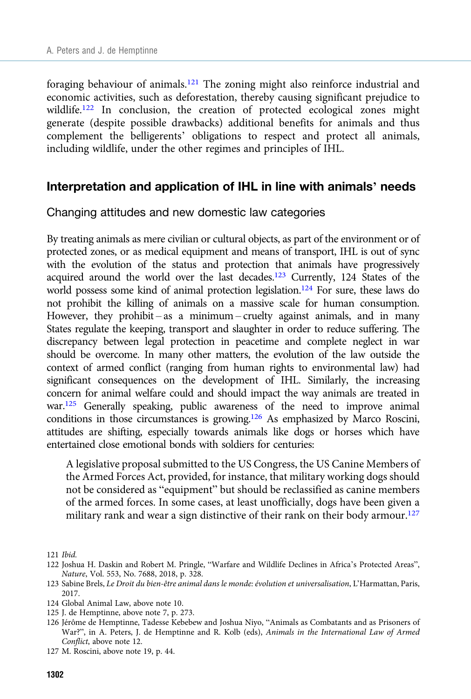foraging behaviour of animals.<sup>121</sup> The zoning might also reinforce industrial and economic activities, such as deforestation, thereby causing significant prejudice to wildlife.<sup>122</sup> In conclusion, the creation of protected ecological zones might generate (despite possible drawbacks) additional benefits for animals and thus complement the belligerents' obligations to respect and protect all animals, including wildlife, under the other regimes and principles of IHL.

#### Interpretation and application of IHL in line with animals' needs

#### Changing attitudes and new domestic law categories

By treating animals as mere civilian or cultural objects, as part of the environment or of protected zones, or as medical equipment and means of transport, IHL is out of sync with the evolution of the status and protection that animals have progressively acquired around the world over the last decades.123 Currently, 124 States of the world possess some kind of animal protection legislation.<sup>124</sup> For sure, these laws do not prohibit the killing of animals on a massive scale for human consumption. However, they prohibit – as a minimum – cruelty against animals, and in many States regulate the keeping, transport and slaughter in order to reduce suffering. The discrepancy between legal protection in peacetime and complete neglect in war should be overcome. In many other matters, the evolution of the law outside the context of armed conflict (ranging from human rights to environmental law) had significant consequences on the development of IHL. Similarly, the increasing concern for animal welfare could and should impact the way animals are treated in war.125 Generally speaking, public awareness of the need to improve animal conditions in those circumstances is growing.126 As emphasized by Marco Roscini, attitudes are shifting, especially towards animals like dogs or horses which have entertained close emotional bonds with soldiers for centuries:

A legislative proposal submitted to the US Congress, the US Canine Members of the Armed Forces Act, provided, for instance, that military working dogs should not be considered as "equipment" but should be reclassified as canine members of the armed forces. In some cases, at least unofficially, dogs have been given a military rank and wear a sign distinctive of their rank on their body armour.<sup>127</sup>

<sup>121</sup> Ibid.

<sup>122</sup> Joshua H. Daskin and Robert M. Pringle, "Warfare and Wildlife Declines in Africa's Protected Areas", Nature, Vol. 553, No. 7688, 2018, p. 328.

<sup>123</sup> Sabine Brels, Le Droit du bien-être animal dans le monde: évolution et universalisation, L'Harmattan, Paris, 2017.

<sup>124</sup> Global Animal Law, above note 10.

<sup>125</sup> J. de Hemptinne, above note 7, p. 273.

<sup>126</sup> Jérôme de Hemptinne, Tadesse Kebebew and Joshua Niyo, "Animals as Combatants and as Prisoners of War?", in A. Peters, J. de Hemptinne and R. Kolb (eds), Animals in the International Law of Armed Conflict, above note 12.

<sup>127</sup> M. Roscini, above note 19, p. 44.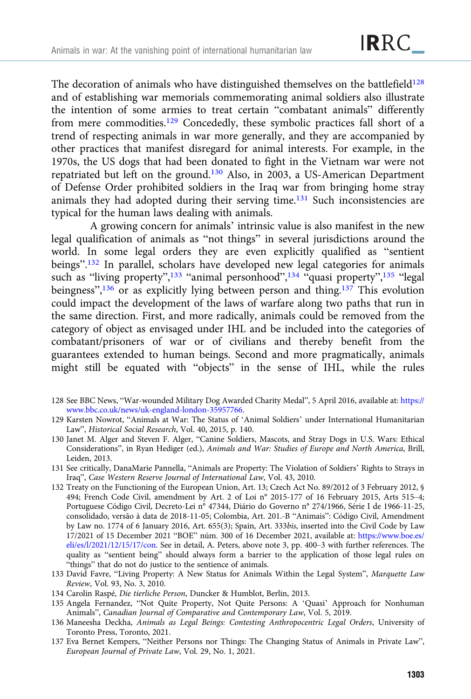The decoration of animals who have distinguished themselves on the battlefield<sup>128</sup> and of establishing war memorials commemorating animal soldiers also illustrate the intention of some armies to treat certain "combatant animals" differently from mere commodities.129 Concededly, these symbolic practices fall short of a trend of respecting animals in war more generally, and they are accompanied by other practices that manifest disregard for animal interests. For example, in the 1970s, the US dogs that had been donated to fight in the Vietnam war were not repatriated but left on the ground.130 Also, in 2003, a US-American Department of Defense Order prohibited soldiers in the Iraq war from bringing home stray animals they had adopted during their serving time.<sup>131</sup> Such inconsistencies are typical for the human laws dealing with animals.

A growing concern for animals' intrinsic value is also manifest in the new legal qualification of animals as "not things" in several jurisdictions around the world. In some legal orders they are even explicitly qualified as "sentient beings".<sup>132</sup> In parallel, scholars have developed new legal categories for animals such as "living property",<sup>133</sup> "animal personhood",<sup>134</sup> "quasi property",<sup>135</sup> "legal beingness",<sup>136</sup> or as explicitly lying between person and thing.<sup>137</sup> This evolution could impact the development of the laws of warfare along two paths that run in the same direction. First, and more radically, animals could be removed from the category of object as envisaged under IHL and be included into the categories of combatant/prisoners of war or of civilians and thereby benefit from the guarantees extended to human beings. Second and more pragmatically, animals might still be equated with "objects" in the sense of IHL, while the rules

- 128 See BBC News, "War-wounded Military Dog Awarded Charity Medal", 5 April 2016, available at: [https://](https://www.bbc.co.uk/news/uk-england-london-35957766) [www.bbc.co.uk/news/uk-england-london-35957766](https://www.bbc.co.uk/news/uk-england-london-35957766).
- 129 Karsten Nowrot, "Animals at War: The Status of 'Animal Soldiers' under International Humanitarian Law", Historical Social Research, Vol. 40, 2015, p. 140.
- 130 Janet M. Alger and Steven F. Alger, "Canine Soldiers, Mascots, and Stray Dogs in U.S. Wars: Ethical Considerations", in Ryan Hediger (ed.), Animals and War: Studies of Europe and North America, Brill, Leiden, 2013.
- 131 See critically, DanaMarie Pannella, "Animals are Property: The Violation of Soldiers' Rights to Strays in Iraq", Case Western Reserve Journal of International Law, Vol. 43, 2010.
- 132 Treaty on the Functioning of the European Union, Art. 13; Czech Act No. 89/2012 of 3 February 2012, § 494; French Code Civil, amendment by Art. 2 of Loi n° 2015-177 of 16 February 2015, Arts 515–4; Portuguese Código Civil, Decreto-Lei n° 47344, Diário do Governo n° 274/1966, Série I de 1966-11-25, consolidado, versão à data de 2018-11-05; Colombia, Art. 201.-B "Animais": Código Civil, Amendment by Law no. 1774 of 6 January 2016, Art. 655(3); Spain, Art. 333bis, inserted into the Civil Code by Law 17/2021 of 15 December 2021 "BOE" núm. 300 of 16 December 2021, available at: [https://www.boe.es/](https://www.boe.es/eli/es/l/2021/12/15/17/con) [eli/es/l/2021/12/15/17/con](https://www.boe.es/eli/es/l/2021/12/15/17/con). See in detail, A. Peters, above note 3, pp. 400–3 with further references. The quality as "sentient being" should always form a barrier to the application of those legal rules on "things" that do not do justice to the sentience of animals.
- 133 David Favre, "Living Property: A New Status for Animals Within the Legal System", Marquette Law Review, Vol. 93, No. 3, 2010.
- 134 Carolin Raspé, Die tierliche Person, Duncker & Humblot, Berlin, 2013.
- 135 Angela Fernandez, "Not Quite Property, Not Quite Persons: A 'Quasi' Approach for Nonhuman Animals", Canadian Journal of Comparative and Contemporary Law, Vol. 5, 2019.
- 136 Maneesha Deckha, Animals as Legal Beings: Contesting Anthropocentric Legal Orders, University of Toronto Press, Toronto, 2021.
- 137 Eva Bernet Kempers, "Neither Persons nor Things: The Changing Status of Animals in Private Law", European Journal of Private Law, Vol. 29, No. 1, 2021.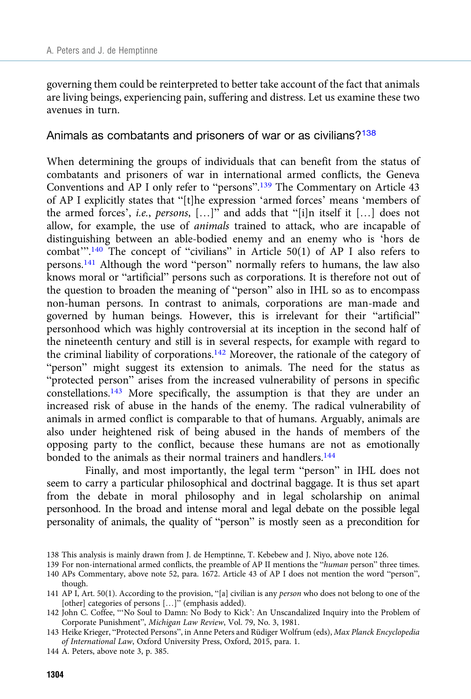governing them could be reinterpreted to better take account of the fact that animals are living beings, experiencing pain, suffering and distress. Let us examine these two avenues in turn.

Animals as combatants and prisoners of war or as civilians?<sup>138</sup>

When determining the groups of individuals that can benefit from the status of combatants and prisoners of war in international armed conflicts, the Geneva Conventions and AP I only refer to "persons".<sup>139</sup> The Commentary on Article 43 of AP I explicitly states that "[t]he expression 'armed forces' means 'members of the armed forces', i.e., persons, […]" and adds that "[i]n itself it […] does not allow, for example, the use of animals trained to attack, who are incapable of distinguishing between an able-bodied enemy and an enemy who is 'hors de combat"<sup>'</sup>.<sup>140</sup> The concept of "civilians" in Article 50(1) of AP I also refers to persons.141 Although the word "person" normally refers to humans, the law also knows moral or "artificial" persons such as corporations. It is therefore not out of the question to broaden the meaning of "person" also in IHL so as to encompass non-human persons. In contrast to animals, corporations are man-made and governed by human beings. However, this is irrelevant for their "artificial" personhood which was highly controversial at its inception in the second half of the nineteenth century and still is in several respects, for example with regard to the criminal liability of corporations.142 Moreover, the rationale of the category of "person" might suggest its extension to animals. The need for the status as "protected person" arises from the increased vulnerability of persons in specific constellations.<sup>143</sup> More specifically, the assumption is that they are under an increased risk of abuse in the hands of the enemy. The radical vulnerability of animals in armed conflict is comparable to that of humans. Arguably, animals are also under heightened risk of being abused in the hands of members of the opposing party to the conflict, because these humans are not as emotionally bonded to the animals as their normal trainers and handlers.<sup>144</sup>

Finally, and most importantly, the legal term "person" in IHL does not seem to carry a particular philosophical and doctrinal baggage. It is thus set apart from the debate in moral philosophy and in legal scholarship on animal personhood. In the broad and intense moral and legal debate on the possible legal personality of animals, the quality of "person" is mostly seen as a precondition for

144 A. Peters, above note 3, p. 385.

<sup>138</sup> This analysis is mainly drawn from J. de Hemptinne, T. Kebebew and J. Niyo, above note 126.

<sup>139</sup> For non-international armed conflicts, the preamble of AP II mentions the "human person" three times. 140 APs Commentary, above note 52, para. 1672. Article 43 of AP I does not mention the word "person", though.

<sup>141</sup> AP I, Art. 50(1). According to the provision, "[a] civilian is any person who does not belong to one of the [other] categories of persons [...]" (emphasis added).

<sup>142</sup> John C. Coffee, "'No Soul to Damn: No Body to Kick': An Unscandalized Inquiry into the Problem of Corporate Punishment", Michigan Law Review, Vol. 79, No. 3, 1981.

<sup>143</sup> Heike Krieger, "Protected Persons", in Anne Peters and Rüdiger Wolfrum (eds), Max Planck Encyclopedia of International Law, Oxford University Press, Oxford, 2015, para. 1.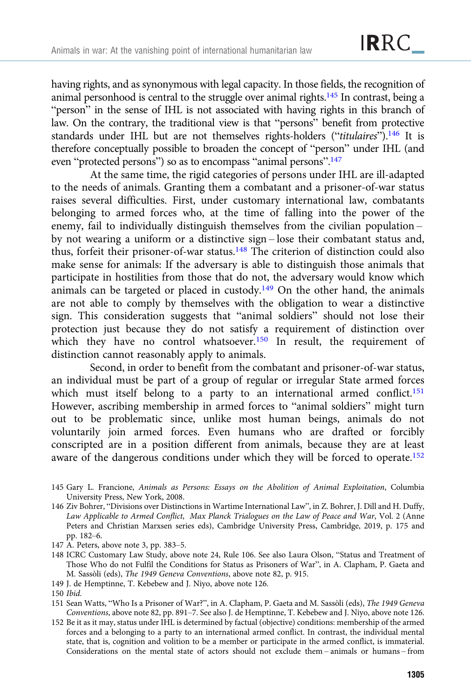having rights, and as synonymous with legal capacity. In those fields, the recognition of animal personhood is central to the struggle over animal rights.<sup>145</sup> In contrast, being a "person" in the sense of IHL is not associated with having rights in this branch of law. On the contrary, the traditional view is that "persons" benefit from protective standards under IHL but are not themselves rights-holders ("titulaires").<sup>146</sup> It is therefore conceptually possible to broaden the concept of "person" under IHL (and even "protected persons") so as to encompass "animal persons".<sup>147</sup>

At the same time, the rigid categories of persons under IHL are ill-adapted to the needs of animals. Granting them a combatant and a prisoner-of-war status raises several difficulties. First, under customary international law, combatants belonging to armed forces who, at the time of falling into the power of the enemy, fail to individually distinguish themselves from the civilian population – by not wearing a uniform or a distinctive sign – lose their combatant status and, thus, forfeit their prisoner-of-war status.148 The criterion of distinction could also make sense for animals: If the adversary is able to distinguish those animals that participate in hostilities from those that do not, the adversary would know which animals can be targeted or placed in custody.<sup>149</sup> On the other hand, the animals are not able to comply by themselves with the obligation to wear a distinctive sign. This consideration suggests that "animal soldiers" should not lose their protection just because they do not satisfy a requirement of distinction over which they have no control whatsoever.<sup>150</sup> In result, the requirement of distinction cannot reasonably apply to animals.

Second, in order to benefit from the combatant and prisoner-of-war status, an individual must be part of a group of regular or irregular State armed forces which must itself belong to a party to an international armed conflict.<sup>151</sup> However, ascribing membership in armed forces to "animal soldiers" might turn out to be problematic since, unlike most human beings, animals do not voluntarily join armed forces. Even humans who are drafted or forcibly conscripted are in a position different from animals, because they are at least aware of the dangerous conditions under which they will be forced to operate.<sup>152</sup>

- 145 Gary L. Francione, Animals as Persons: Essays on the Abolition of Animal Exploitation, Columbia University Press, New York, 2008.
- 146 Ziv Bohrer, "Divisions over Distinctions in Wartime International Law", in Z. Bohrer, J. Dill and H. Duffy, Law Applicable to Armed Conflict, Max Planck Trialogues on the Law of Peace and War, Vol. 2 (Anne Peters and Christian Marxsen series eds), Cambridge University Press, Cambridge, 2019, p. 175 and pp. 182–6.
- 147 A. Peters, above note 3, pp. 383–5.
- 148 ICRC Customary Law Study, above note 24, Rule 106. See also Laura Olson, "Status and Treatment of Those Who do not Fulfil the Conditions for Status as Prisoners of War", in A. Clapham, P. Gaeta and M. Sassòli (eds), The 1949 Geneva Conventions, above note 82, p. 915.
- 149 J. de Hemptinne, T. Kebebew and J. Niyo, above note 126.

152 Be it as it may, status under IHL is determined by factual (objective) conditions: membership of the armed forces and a belonging to a party to an international armed conflict. In contrast, the individual mental state, that is, cognition and volition to be a member or participate in the armed conflict, is immaterial. Considerations on the mental state of actors should not exclude them – animals or humans – from

<sup>150</sup> Ibid.

<sup>151</sup> Sean Watts, "Who Is a Prisoner of War?", in A. Clapham, P. Gaeta and M. Sassòli (eds), The 1949 Geneva Conventions, above note 82, pp. 891–7. See also J. de Hemptinne, T. Kebebew and J. Niyo, above note 126.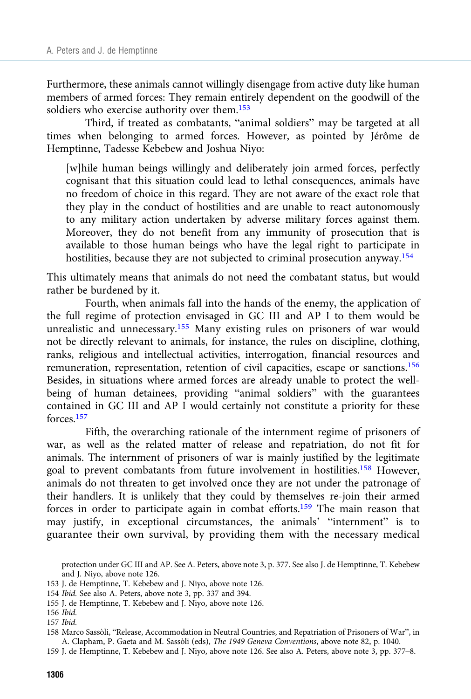Furthermore, these animals cannot willingly disengage from active duty like human members of armed forces: They remain entirely dependent on the goodwill of the soldiers who exercise authority over them.<sup>153</sup>

Third, if treated as combatants, "animal soldiers" may be targeted at all times when belonging to armed forces. However, as pointed by Jérôme de Hemptinne, Tadesse Kebebew and Joshua Niyo:

[w]hile human beings willingly and deliberately join armed forces, perfectly cognisant that this situation could lead to lethal consequences, animals have no freedom of choice in this regard. They are not aware of the exact role that they play in the conduct of hostilities and are unable to react autonomously to any military action undertaken by adverse military forces against them. Moreover, they do not benefit from any immunity of prosecution that is available to those human beings who have the legal right to participate in hostilities, because they are not subjected to criminal prosecution anyway.154

This ultimately means that animals do not need the combatant status, but would rather be burdened by it.

Fourth, when animals fall into the hands of the enemy, the application of the full regime of protection envisaged in GC III and AP I to them would be unrealistic and unnecessary.<sup>155</sup> Many existing rules on prisoners of war would not be directly relevant to animals, for instance, the rules on discipline, clothing, ranks, religious and intellectual activities, interrogation, financial resources and remuneration, representation, retention of civil capacities, escape or sanctions.156 Besides, in situations where armed forces are already unable to protect the wellbeing of human detainees, providing "animal soldiers" with the guarantees contained in GC III and AP I would certainly not constitute a priority for these forces.157

Fifth, the overarching rationale of the internment regime of prisoners of war, as well as the related matter of release and repatriation, do not fit for animals. The internment of prisoners of war is mainly justified by the legitimate goal to prevent combatants from future involvement in hostilities.158 However, animals do not threaten to get involved once they are not under the patronage of their handlers. It is unlikely that they could by themselves re-join their armed forces in order to participate again in combat efforts.159 The main reason that may justify, in exceptional circumstances, the animals' "internment" is to guarantee their own survival, by providing them with the necessary medical

protection under GC III and AP. See A. Peters, above note 3, p. 377. See also J. de Hemptinne, T. Kebebew and J. Niyo, above note 126.

<sup>153</sup> J. de Hemptinne, T. Kebebew and J. Niyo, above note 126.

<sup>154</sup> Ibid. See also A. Peters, above note 3, pp. 337 and 394.

<sup>155</sup> J. de Hemptinne, T. Kebebew and J. Niyo, above note 126.

<sup>156</sup> Ibid.

<sup>157</sup> Ibid.

<sup>158</sup> Marco Sassòli, "Release, Accommodation in Neutral Countries, and Repatriation of Prisoners of War", in A. Clapham, P. Gaeta and M. Sassòli (eds), The 1949 Geneva Conventions, above note 82, p. 1040.

<sup>159</sup> J. de Hemptinne, T. Kebebew and J. Niyo, above note 126. See also A. Peters, above note 3, pp. 377–8.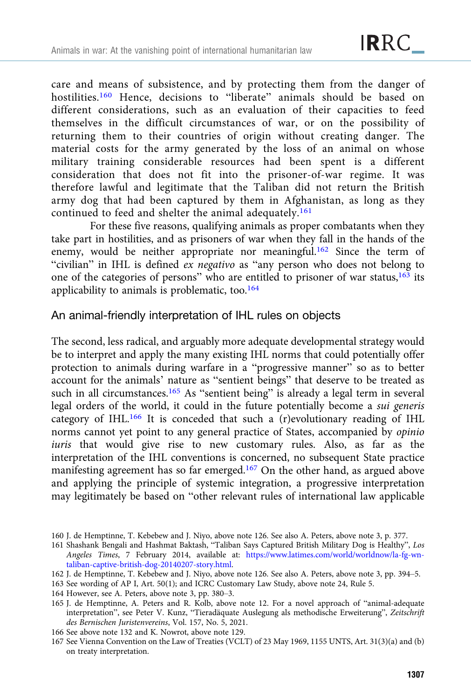care and means of subsistence, and by protecting them from the danger of hostilities.<sup>160</sup> Hence, decisions to "liberate" animals should be based on different considerations, such as an evaluation of their capacities to feed themselves in the difficult circumstances of war, or on the possibility of returning them to their countries of origin without creating danger. The material costs for the army generated by the loss of an animal on whose military training considerable resources had been spent is a different consideration that does not fit into the prisoner-of-war regime. It was therefore lawful and legitimate that the Taliban did not return the British army dog that had been captured by them in Afghanistan, as long as they continued to feed and shelter the animal adequately.<sup>161</sup>

For these five reasons, qualifying animals as proper combatants when they take part in hostilities, and as prisoners of war when they fall in the hands of the enemy, would be neither appropriate nor meaningful.<sup>162</sup> Since the term of "civilian" in IHL is defined ex negativo as "any person who does not belong to one of the categories of persons" who are entitled to prisoner of war status,163 its applicability to animals is problematic, too. $164$ 

#### An animal-friendly interpretation of IHL rules on objects

The second, less radical, and arguably more adequate developmental strategy would be to interpret and apply the many existing IHL norms that could potentially offer protection to animals during warfare in a "progressive manner" so as to better account for the animals' nature as "sentient beings" that deserve to be treated as such in all circumstances.<sup>165</sup> As "sentient being" is already a legal term in several legal orders of the world, it could in the future potentially become a sui generis category of IHL.166 It is conceded that such a (r)evolutionary reading of IHL norms cannot yet point to any general practice of States, accompanied by opinio iuris that would give rise to new customary rules. Also, as far as the interpretation of the IHL conventions is concerned, no subsequent State practice manifesting agreement has so far emerged.167 On the other hand, as argued above and applying the principle of systemic integration, a progressive interpretation may legitimately be based on "other relevant rules of international law applicable

164 However, see A. Peters, above note 3, pp. 380–3.

- 166 See above note 132 and K. Nowrot, above note 129.
- 167 See Vienna Convention on the Law of Treaties (VCLT) of 23 May 1969, 1155 UNTS, Art. 31(3)(a) and (b) on treaty interpretation.

<sup>160</sup> J. de Hemptinne, T. Kebebew and J. Niyo, above note 126. See also A. Peters, above note 3, p. 377.

<sup>161</sup> Shashank Bengali and Hashmat Baktash, "Taliban Says Captured British Military Dog is Healthy", Los Angeles Times, 7 February 2014, available at: [https://www.latimes.com/world/worldnow/la-fg-wn](https://www.latimes.com/world/worldnow/la-fg-wn-taliban-captive-british-dog-20140207-story.html)[taliban-captive-british-dog-20140207-story.html.](https://www.latimes.com/world/worldnow/la-fg-wn-taliban-captive-british-dog-20140207-story.html)

<sup>162</sup> J. de Hemptinne, T. Kebebew and J. Niyo, above note 126. See also A. Peters, above note 3, pp. 394–5.

<sup>163</sup> See wording of AP I, Art. 50(1); and ICRC Customary Law Study, above note 24, Rule 5.

<sup>165</sup> J. de Hemptinne, A. Peters and R. Kolb, above note 12. For a novel approach of "animal-adequate interpretation", see Peter V. Kunz, "Tieradäquate Auslegung als methodische Erweiterung", Zeitschrift des Bernischen Juristenvereins, Vol. 157, No. 5, 2021.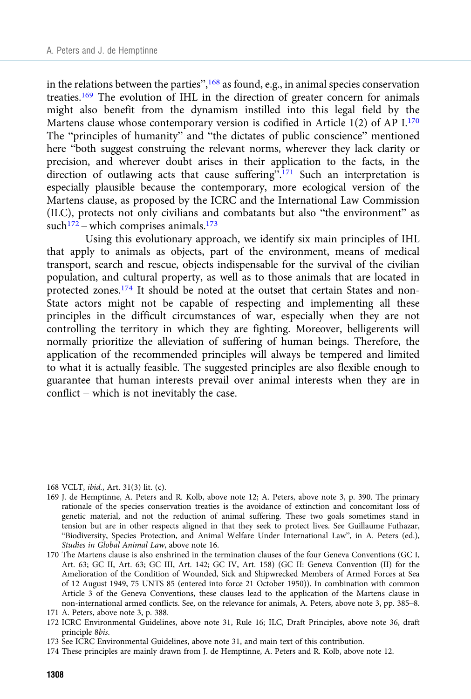in the relations between the parties",  $^{168}$  as found, e.g., in animal species conservation treaties.<sup>169</sup> The evolution of IHL in the direction of greater concern for animals might also benefit from the dynamism instilled into this legal field by the Martens clause whose contemporary version is codified in Article 1(2) of AP I.170 The "principles of humanity" and "the dictates of public conscience" mentioned here "both suggest construing the relevant norms, wherever they lack clarity or precision, and wherever doubt arises in their application to the facts, in the direction of outlawing acts that cause suffering".<sup>171</sup> Such an interpretation is especially plausible because the contemporary, more ecological version of the Martens clause, as proposed by the ICRC and the International Law Commission (ILC), protects not only civilians and combatants but also "the environment" as such<sup>172</sup> – which comprises animals.<sup>173</sup>

Using this evolutionary approach, we identify six main principles of IHL that apply to animals as objects, part of the environment, means of medical transport, search and rescue, objects indispensable for the survival of the civilian population, and cultural property, as well as to those animals that are located in protected zones.<sup>174</sup> It should be noted at the outset that certain States and non-State actors might not be capable of respecting and implementing all these principles in the difficult circumstances of war, especially when they are not controlling the territory in which they are fighting. Moreover, belligerents will normally prioritize the alleviation of suffering of human beings. Therefore, the application of the recommended principles will always be tempered and limited to what it is actually feasible. The suggested principles are also flexible enough to guarantee that human interests prevail over animal interests when they are in conflict – which is not inevitably the case.

168 VCLT, ibid., Art. 31(3) lit. (c).

- 169 J. de Hemptinne, A. Peters and R. Kolb, above note 12; A. Peters, above note 3, p. 390. The primary rationale of the species conservation treaties is the avoidance of extinction and concomitant loss of genetic material, and not the reduction of animal suffering. These two goals sometimes stand in tension but are in other respects aligned in that they seek to protect lives. See Guillaume Futhazar, "Biodiversity, Species Protection, and Animal Welfare Under International Law", in A. Peters (ed.), Studies in Global Animal Law, above note 16.
- 170 The Martens clause is also enshrined in the termination clauses of the four Geneva Conventions (GC I, Art. 63; GC II, Art. 63; GC III, Art. 142; GC IV, Art. 158) (GC II: Geneva Convention (II) for the Amelioration of the Condition of Wounded, Sick and Shipwrecked Members of Armed Forces at Sea of 12 August 1949, 75 UNTS 85 (entered into force 21 October 1950)). In combination with common Article 3 of the Geneva Conventions, these clauses lead to the application of the Martens clause in non-international armed conflicts. See, on the relevance for animals, A. Peters, above note 3, pp. 385–8.

172 ICRC Environmental Guidelines, above note 31, Rule 16; ILC, Draft Principles, above note 36, draft principle 8bis.

<sup>171</sup> A. Peters, above note 3, p. 388.

<sup>173</sup> See ICRC Environmental Guidelines, above note 31, and main text of this contribution.

<sup>174</sup> These principles are mainly drawn from J. de Hemptinne, A. Peters and R. Kolb, above note 12.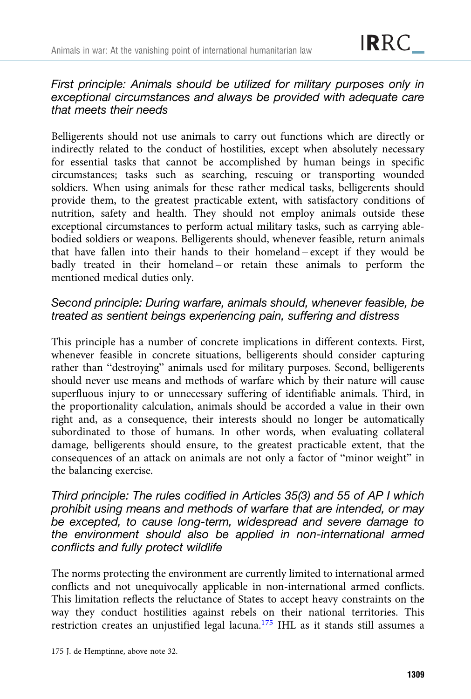# First principle: Animals should be utilized for military purposes only in exceptional circumstances and always be provided with adequate care that meets their needs

Belligerents should not use animals to carry out functions which are directly or indirectly related to the conduct of hostilities, except when absolutely necessary for essential tasks that cannot be accomplished by human beings in specific circumstances; tasks such as searching, rescuing or transporting wounded soldiers. When using animals for these rather medical tasks, belligerents should provide them, to the greatest practicable extent, with satisfactory conditions of nutrition, safety and health. They should not employ animals outside these exceptional circumstances to perform actual military tasks, such as carrying ablebodied soldiers or weapons. Belligerents should, whenever feasible, return animals that have fallen into their hands to their homeland – except if they would be badly treated in their homeland – or retain these animals to perform the mentioned medical duties only.

# Second principle: During warfare, animals should, whenever feasible, be treated as sentient beings experiencing pain, suffering and distress

This principle has a number of concrete implications in different contexts. First, whenever feasible in concrete situations, belligerents should consider capturing rather than "destroying" animals used for military purposes. Second, belligerents should never use means and methods of warfare which by their nature will cause superfluous injury to or unnecessary suffering of identifiable animals. Third, in the proportionality calculation, animals should be accorded a value in their own right and, as a consequence, their interests should no longer be automatically subordinated to those of humans. In other words, when evaluating collateral damage, belligerents should ensure, to the greatest practicable extent, that the consequences of an attack on animals are not only a factor of "minor weight" in the balancing exercise.

Third principle: The rules codified in Articles 35(3) and 55 of AP I which prohibit using means and methods of warfare that are intended, or may be excepted, to cause long-term, widespread and severe damage to the environment should also be applied in non-international armed conflicts and fully protect wildlife

The norms protecting the environment are currently limited to international armed conflicts and not unequivocally applicable in non-international armed conflicts. This limitation reflects the reluctance of States to accept heavy constraints on the way they conduct hostilities against rebels on their national territories. This restriction creates an unjustified legal lacuna.175 IHL as it stands still assumes a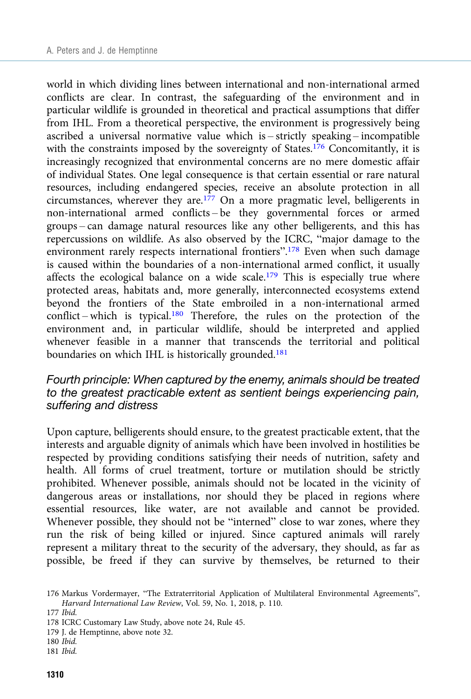world in which dividing lines between international and non-international armed conflicts are clear. In contrast, the safeguarding of the environment and in particular wildlife is grounded in theoretical and practical assumptions that differ from IHL. From a theoretical perspective, the environment is progressively being ascribed a universal normative value which is – strictly speaking – incompatible with the constraints imposed by the sovereignty of States.<sup>176</sup> Concomitantly, it is increasingly recognized that environmental concerns are no mere domestic affair of individual States. One legal consequence is that certain essential or rare natural resources, including endangered species, receive an absolute protection in all circumstances, wherever they are.<sup>177</sup> On a more pragmatic level, belligerents in non-international armed conflicts – be they governmental forces or armed groups – can damage natural resources like any other belligerents, and this has repercussions on wildlife. As also observed by the ICRC, "major damage to the environment rarely respects international frontiers".<sup>178</sup> Even when such damage is caused within the boundaries of a non-international armed conflict, it usually affects the ecological balance on a wide scale.<sup>179</sup> This is especially true where protected areas, habitats and, more generally, interconnected ecosystems extend beyond the frontiers of the State embroiled in a non-international armed conflict – which is typical.180 Therefore, the rules on the protection of the environment and, in particular wildlife, should be interpreted and applied whenever feasible in a manner that transcends the territorial and political boundaries on which IHL is historically grounded.<sup>181</sup>

#### Fourth principle: When captured by the enemy, animals should be treated to the greatest practicable extent as sentient beings experiencing pain, suffering and distress

Upon capture, belligerents should ensure, to the greatest practicable extent, that the interests and arguable dignity of animals which have been involved in hostilities be respected by providing conditions satisfying their needs of nutrition, safety and health. All forms of cruel treatment, torture or mutilation should be strictly prohibited. Whenever possible, animals should not be located in the vicinity of dangerous areas or installations, nor should they be placed in regions where essential resources, like water, are not available and cannot be provided. Whenever possible, they should not be "interned" close to war zones, where they run the risk of being killed or injured. Since captured animals will rarely represent a military threat to the security of the adversary, they should, as far as possible, be freed if they can survive by themselves, be returned to their

<sup>176</sup> Markus Vordermayer, "The Extraterritorial Application of Multilateral Environmental Agreements", Harvard International Law Review, Vol. 59, No. 1, 2018, p. 110.

<sup>177</sup> Ibid.

<sup>178</sup> ICRC Customary Law Study, above note 24, Rule 45.

<sup>179</sup> J. de Hemptinne, above note 32.

<sup>180</sup> Ibid.

<sup>181</sup> Ibid.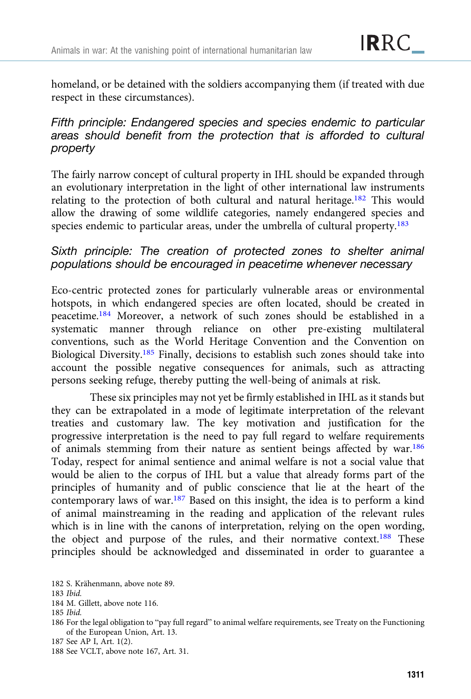homeland, or be detained with the soldiers accompanying them (if treated with due respect in these circumstances).

# Fifth principle: Endangered species and species endemic to particular areas should benefit from the protection that is afforded to cultural property

The fairly narrow concept of cultural property in IHL should be expanded through an evolutionary interpretation in the light of other international law instruments relating to the protection of both cultural and natural heritage.182 This would allow the drawing of some wildlife categories, namely endangered species and species endemic to particular areas, under the umbrella of cultural property.<sup>183</sup>

# Sixth principle: The creation of protected zones to shelter animal populations should be encouraged in peacetime whenever necessary

Eco-centric protected zones for particularly vulnerable areas or environmental hotspots, in which endangered species are often located, should be created in peacetime.184 Moreover, a network of such zones should be established in a systematic manner through reliance on other pre-existing multilateral conventions, such as the World Heritage Convention and the Convention on Biological Diversity.185 Finally, decisions to establish such zones should take into account the possible negative consequences for animals, such as attracting persons seeking refuge, thereby putting the well-being of animals at risk.

These six principles may not yet be firmly established in IHL as it stands but they can be extrapolated in a mode of legitimate interpretation of the relevant treaties and customary law. The key motivation and justification for the progressive interpretation is the need to pay full regard to welfare requirements of animals stemming from their nature as sentient beings affected by war.186 Today, respect for animal sentience and animal welfare is not a social value that would be alien to the corpus of IHL but a value that already forms part of the principles of humanity and of public conscience that lie at the heart of the contemporary laws of war.<sup>187</sup> Based on this insight, the idea is to perform a kind of animal mainstreaming in the reading and application of the relevant rules which is in line with the canons of interpretation, relying on the open wording, the object and purpose of the rules, and their normative context.<sup>188</sup> These principles should be acknowledged and disseminated in order to guarantee a

<sup>182</sup> S. Krähenmann, above note 89.

<sup>183</sup> Ibid.

<sup>184</sup> M. Gillett, above note 116.

<sup>185</sup> Ibid.

<sup>186</sup> For the legal obligation to "pay full regard" to animal welfare requirements, see Treaty on the Functioning of the European Union, Art. 13.

<sup>187</sup> See AP I, Art. 1(2).

<sup>188</sup> See VCLT, above note 167, Art. 31.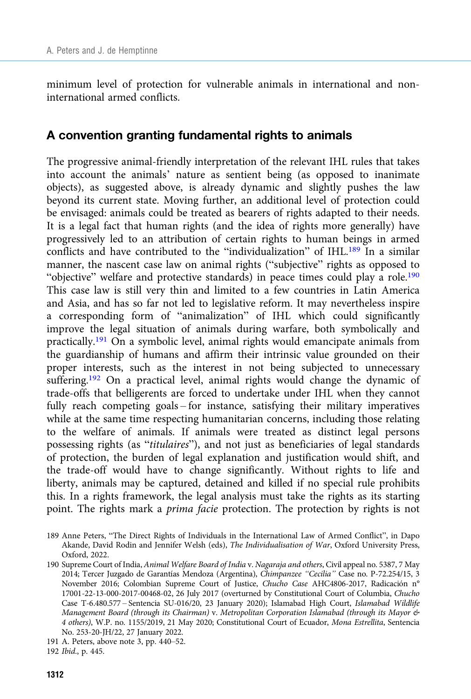minimum level of protection for vulnerable animals in international and noninternational armed conflicts.

## A convention granting fundamental rights to animals

The progressive animal-friendly interpretation of the relevant IHL rules that takes into account the animals' nature as sentient being (as opposed to inanimate objects), as suggested above, is already dynamic and slightly pushes the law beyond its current state. Moving further, an additional level of protection could be envisaged: animals could be treated as bearers of rights adapted to their needs. It is a legal fact that human rights (and the idea of rights more generally) have progressively led to an attribution of certain rights to human beings in armed conflicts and have contributed to the "individualization" of IHL.<sup>189</sup> In a similar manner, the nascent case law on animal rights ("subjective" rights as opposed to "objective" welfare and protective standards) in peace times could play a role.<sup>190</sup> This case law is still very thin and limited to a few countries in Latin America and Asia, and has so far not led to legislative reform. It may nevertheless inspire a corresponding form of "animalization" of IHL which could significantly improve the legal situation of animals during warfare, both symbolically and practically.191 On a symbolic level, animal rights would emancipate animals from the guardianship of humans and affirm their intrinsic value grounded on their proper interests, such as the interest in not being subjected to unnecessary suffering.<sup>192</sup> On a practical level, animal rights would change the dynamic of trade-offs that belligerents are forced to undertake under IHL when they cannot fully reach competing goals – for instance, satisfying their military imperatives while at the same time respecting humanitarian concerns, including those relating to the welfare of animals. If animals were treated as distinct legal persons possessing rights (as "titulaires"), and not just as beneficiaries of legal standards of protection, the burden of legal explanation and justification would shift, and the trade-off would have to change significantly. Without rights to life and liberty, animals may be captured, detained and killed if no special rule prohibits this. In a rights framework, the legal analysis must take the rights as its starting point. The rights mark a prima facie protection. The protection by rights is not

<sup>189</sup> Anne Peters, "The Direct Rights of Individuals in the International Law of Armed Conflict", in Dapo Akande, David Rodin and Jennifer Welsh (eds), The Individualisation of War, Oxford University Press, Oxford, 2022.

<sup>190</sup> Supreme Court of India, Animal Welfare Board of India v. Nagaraja and others, Civil appeal no. 5387, 7 May 2014; Tercer Juzgado de Garantías Mendoza (Argentina), Chimpanzee "Cecilia" Case no. P-72.254/15, 3 November 2016; Colombian Supreme Court of Justice, Chucho Case AHC4806-2017, Radicación n° 17001-22-13-000-2017-00468-02, 26 July 2017 (overturned by Constitutional Court of Columbia, Chucho Case T-6.480.577 – Sentencia SU-016/20, 23 January 2020); Islamabad High Court, Islamabad Wildlife Management Board (through its Chairman) v. Metropolitan Corporation Islamabad (through its Mayor & 4 others), W.P. no. 1155/2019, 21 May 2020; Constitutional Court of Ecuador, Mona Estrellita, Sentencia No. 253-20-JH/22, 27 January 2022.

<sup>191</sup> A. Peters, above note 3, pp. 440–52.

<sup>192</sup> Ibid., p. 445.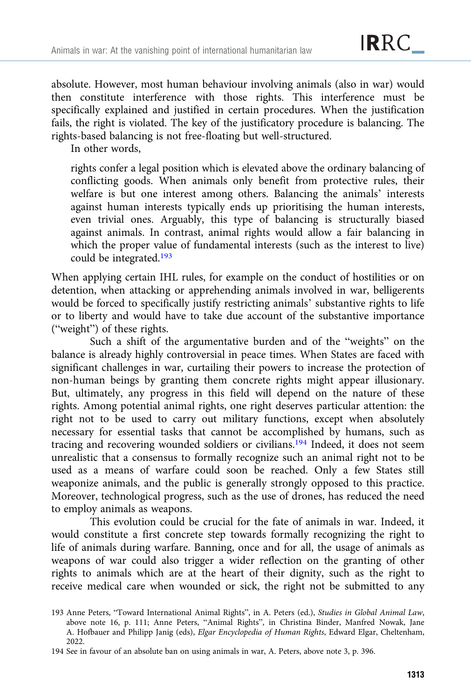absolute. However, most human behaviour involving animals (also in war) would then constitute interference with those rights. This interference must be specifically explained and justified in certain procedures. When the justification fails, the right is violated. The key of the justificatory procedure is balancing. The rights-based balancing is not free-floating but well-structured.

In other words,

rights confer a legal position which is elevated above the ordinary balancing of conflicting goods. When animals only benefit from protective rules, their welfare is but one interest among others. Balancing the animals' interests against human interests typically ends up prioritising the human interests, even trivial ones. Arguably, this type of balancing is structurally biased against animals. In contrast, animal rights would allow a fair balancing in which the proper value of fundamental interests (such as the interest to live) could be integrated.193

When applying certain IHL rules, for example on the conduct of hostilities or on detention, when attacking or apprehending animals involved in war, belligerents would be forced to specifically justify restricting animals' substantive rights to life or to liberty and would have to take due account of the substantive importance ("weight") of these rights.

Such a shift of the argumentative burden and of the "weights" on the balance is already highly controversial in peace times. When States are faced with significant challenges in war, curtailing their powers to increase the protection of non-human beings by granting them concrete rights might appear illusionary. But, ultimately, any progress in this field will depend on the nature of these rights. Among potential animal rights, one right deserves particular attention: the right not to be used to carry out military functions, except when absolutely necessary for essential tasks that cannot be accomplished by humans, such as tracing and recovering wounded soldiers or civilians.194 Indeed, it does not seem unrealistic that a consensus to formally recognize such an animal right not to be used as a means of warfare could soon be reached. Only a few States still weaponize animals, and the public is generally strongly opposed to this practice. Moreover, technological progress, such as the use of drones, has reduced the need to employ animals as weapons.

This evolution could be crucial for the fate of animals in war. Indeed, it would constitute a first concrete step towards formally recognizing the right to life of animals during warfare. Banning, once and for all, the usage of animals as weapons of war could also trigger a wider reflection on the granting of other rights to animals which are at the heart of their dignity, such as the right to receive medical care when wounded or sick, the right not be submitted to any

194 See in favour of an absolute ban on using animals in war, A. Peters, above note 3, p. 396.

<sup>193</sup> Anne Peters, "Toward International Animal Rights", in A. Peters (ed.), Studies in Global Animal Law, above note 16, p. 111; Anne Peters, "Animal Rights", in Christina Binder, Manfred Nowak, Jane A. Hofbauer and Philipp Janig (eds), Elgar Encyclopedia of Human Rights, Edward Elgar, Cheltenham, 2022.